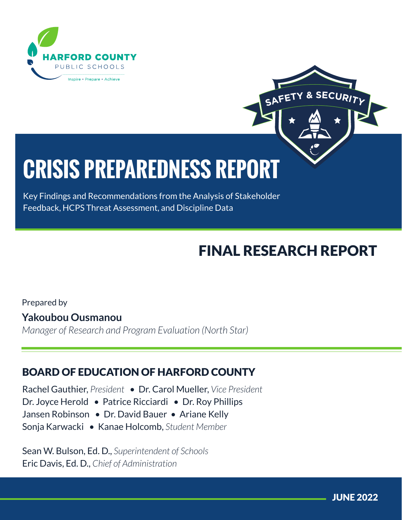



# **CRISIS PREPAREDNESS REPORT**

Key Findings and Recommendations from the Analysis of Stakeholder Feedback, HCPS Threat Assessment, and Discipline Data

## FINAL RESEARCH REPORT

Prepared by **Yakoubou Ousmanou** *Manager of Research and Program Evaluation (North Star)*

## BOARD OF EDUCATION OF HARFORD COUNTY

Rachel Gauthier, *President* • Dr. Carol Mueller, *Vice President* Dr. Joyce Herold • Patrice Ricciardi • Dr. Roy Phillips Jansen Robinson • Dr. David Bauer • Ariane Kelly Sonja Karwacki • Kanae Holcomb, *Student Member*

Sean W. Bulson, Ed. D., *Superintendent of Schools* Eric Davis, Ed. D., *Chief of Administration*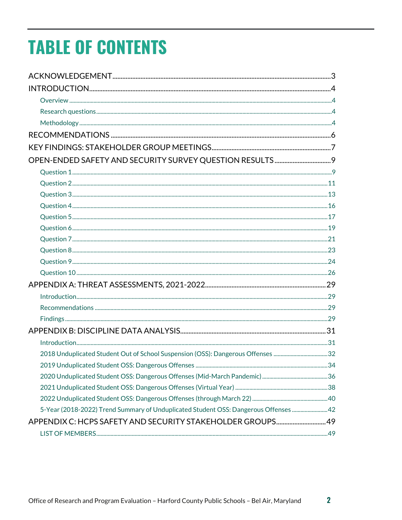# **TABLE OF CONTENTS**

|                                                                                     | 34 |
|-------------------------------------------------------------------------------------|----|
|                                                                                     |    |
|                                                                                     |    |
|                                                                                     |    |
| 5-Year (2018-2022) Trend Summary of Unduplicated Student OSS: Dangerous Offenses 42 |    |
| APPENDIX C: HCPS SAFETY AND SECURITY STAKEHOLDER GROUPS 49                          |    |
|                                                                                     |    |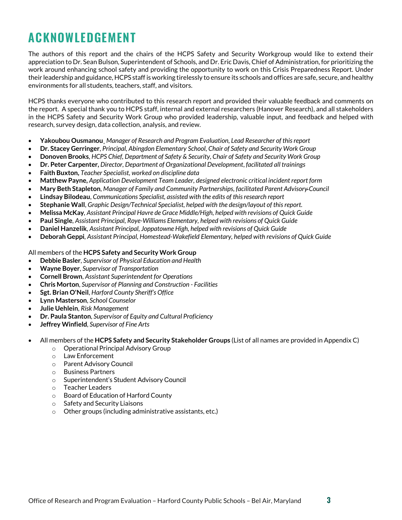## <span id="page-2-0"></span>**ACKNOWLEDGEMENT**

The authors of this report and the chairs of the HCPS Safety and Security Workgroup would like to extend their appreciation to Dr. Sean Bulson, Superintendent of Schools, and Dr. Eric Davis, Chief of Administration, for prioritizing the work around enhancing school safety and providing the opportunity to work on this Crisis Preparedness Report. Under their leadership and guidance, HCPS staff is working tirelessly to ensure its schools and offices are safe, secure, and healthy environments for all students, teachers, staff, and visitors.

HCPS thanks everyone who contributed to this research report and provided their valuable feedback and comments on the report. A special thank you to HCPS staff, internal and external researchers (Hanover Research), and all stakeholders in the HCPS Safety and Security Work Group who provided leadership, valuable input, and feedback and helped with research, survey design, data collection, analysis, and review.

- **Yakoubou Ousmanou**¸ *Manager of Research and Program Evaluation, Lead Researcher of this report*
- **Dr. Stacey Gerringer**, *Principal, Abingdon Elementary School, Chair of Safety and Security Work Group*
- **Donoven Brooks**, *HCPS Chief, Department of Safety & Security*, *Chair of Safety and Security Work Group*
- **Dr. Peter Carpenter,** *Director, Department of Organizational Development*, *facilitated all trainings*
- **Faith Buxton,** *Teacher Specialist, worked on discipline data*
- **Matthew Payne,** *Application Development Team Leader, designed electronic critical incident report form*
- **Mary Beth Stapleton**, *Manager of Family and Community Partnerships, facilitated Parent Advisory Council*
- **Lindsay Bilodeau**, *Communications Specialist, assisted with the edits of this research report*
- **Stephanie Wall**, *Graphic Design/Technical Specialist, helped with the design/layout of this report.*
- **Melissa McKay***, Assistant Principal Havre de Grace Middle/High, helped with revisions of Quick Guide*
- **Paul Single***, Assistant Principal, Roye-Williams Elementary, helped with revisions of Quick Guide*
- **Daniel Hanzelik***, Assistant Principal, Joppatowne High, helped with revisions of Quick Guide*
- **Deborah Geppi***, Assistant Principal, Homestead-Wakefield Elementary, helped with revisions of Quick Guide*

#### All members of the **HCPS Safety and Security Work Group**

- **Debbie Basler**, *Supervisor of Physical Education and Health*
- **Wayne Boyer**, *Supervisor of Transportation*
- **Cornell Brown**, *Assistant Superintendent for Operations*
- **Chris Morton**, *Supervisor of Planning and Construction Facilities*
- **Sgt. Brian O'Neil**, *Harford County Sheriff's Office*
- **Lynn Masterson**, *School Counselor*
- **Julie Uehlein**, *Risk Management*
- **Dr. Paula Stanton**, *Supervisor of Equity and Cultural Proficiency*
- **Jeffrey Winfield**, *Supervisor of Fine Arts*

#### • All members of the **HCPS Safety and Security Stakeholder Groups** (List of all names are provided in Appendix C)

- o Operational Principal Advisory Group<br>o Law Enforcement
- Law Enforcement
- o Parent Advisory Council
- o Business Partners
- o Superintendent's Student Advisory Council
- o Teacher Leaders
- o Board of Education of Harford County
- o Safety and Security Liaisons
- o Other groups (including administrative assistants, etc.)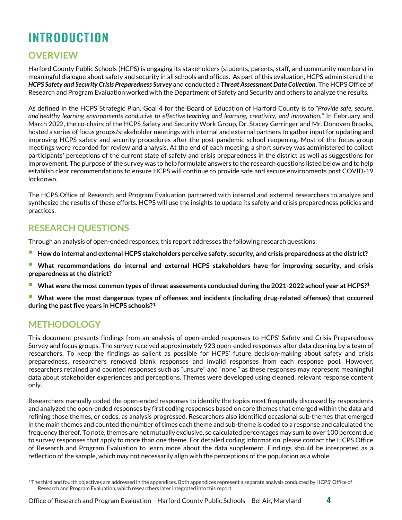## <span id="page-3-0"></span>**INTRODUCTION**

## <span id="page-3-1"></span>**OVERVIEW**

Harford County Public Schools (HCPS) is engaging its stakeholders (students, parents, staff, and community members) in meaningful dialogue about safety and security in all schools and offices. As part of this evaluation, HCPS administered the *HCPS Safety and Security Crisis Preparedness Survey* and conducted a *Threat Assessment Data Collection*. The HCPS Office of Research and Program Evaluation worked with the Department of Safety and Security and others to analyze the results.

As defined in the HCPS Strategic Plan, Goal 4 for the Board of Education of Harford County is to *"Provide safe, secure, and healthy learning environments conducive to effective teaching and learning, creativity, and innovation."* In February and March 2022, the co-chairs of the HCPS Safety and Security Work Group, Dr. Stacey Gerringer and Mr. Donoven Brooks, hosted a series of focus groups/stakeholder meetings with internal and external partners to gather input for updating and improving HCPS safety and security procedures after the post-pandemic school reopening. Most of the focus group meetings were recorded for review and analysis. At the end of each meeting, a short survey was administered to collect participants' perceptions of the current state of safety and crisis preparedness in the district as well as suggestions for improvement. The purpose of the survey was to help formulate answers to the research questions listed below and to help establish clear recommendations to ensure HCPS will continue to provide safe and secure environments post COVID-19 lockdown.

The HCPS Office of Research and Program Evaluation partnered with internal and external researchers to analyze and synthesize the results of these efforts. HCPS will use the insights to update its safety and crisis preparedness policies and practices.

## <span id="page-3-2"></span>**RESEARCH QUESTIONS**

Through an analysis of open-ended responses, this report addresses the following research questions:

- **How do internal and external HCPS stakeholders perceive safety, security, and crisis preparedness at the district?**
- **What recommendations do internal and external HCPS stakeholders have for improving security, and crisis preparedness at the district?**
- **What were the most common types of threat assessments conducted during the 2021-2022 school year at HCPS?1**
- **What were the most dangerous types of offenses and incidents (including drug-related offenses) that occurred during the past five years in HCPS schools?[1](#page-3-4)**

## <span id="page-3-3"></span>**METHODOLOGY**

This document presents findings from an analysis of open-ended responses to HCPS' Safety and Crisis Preparedness Survey and focus groups. The survey received approximately 923 open-ended responses after data cleaning by a team of researchers. To keep the findings as salient as possible for HCPS' future decision-making about safety and crisis preparedness, researchers removed blank responses and invalid responses from each response pool. However, researchers retained and counted responses such as "unsure" and "none," as these responses may represent meaningful data about stakeholder experiences and perceptions. Themes were developed using cleaned, relevant response content only.

Researchers manually coded the open-ended responses to identify the topics most frequently discussed by respondents and analyzed the open-ended responses by first coding responses based on core themes that emerged within the data and refining those themes, or codes, as analysis progressed. Researchers also identified occasional sub-themes that emerged in the main themes and counted the number of times each theme and sub-theme is coded to a response and calculated the frequency thereof. To note, themes are not mutually exclusive, so calculated percentages may sum to over 100 percent due to survey responses that apply to more than one theme. For detailed coding information, please contact the HCPS Office of Research and Program Evaluation to learn more about the data supplement. Findings should be interpreted as a reflection of the sample, which may not necessarily align with the perceptions of the population as a whole.

Office of Research and Program Evaluation – Harford County Public Schools – Bel Air, Maryland **4**

<span id="page-3-4"></span> $^1$ The third and fourth objectives are addressed in the appendices. Both appendices represent a separate analysis conducted by HCPS' Office of Research and Program Evaluation, which researchers later integrated into this report.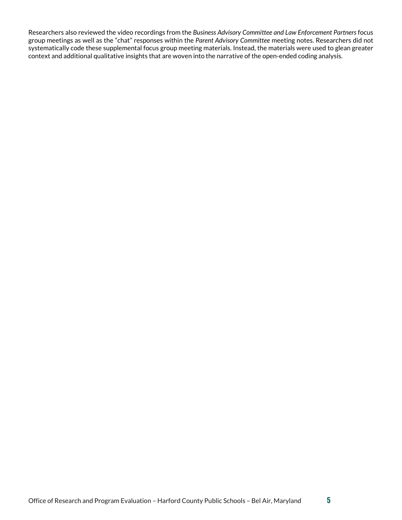Researchers also reviewed the video recordings from the *Business Advisory Committee and Law Enforcement Partners* focus group meetings as well as the "chat" responses within the *Parent Advisory Committee* meeting notes. Researchers did not systematically code these supplemental focus group meeting materials. Instead, the materials were used to glean greater context and additional qualitative insights that are woven into the narrative of the open-ended coding analysis.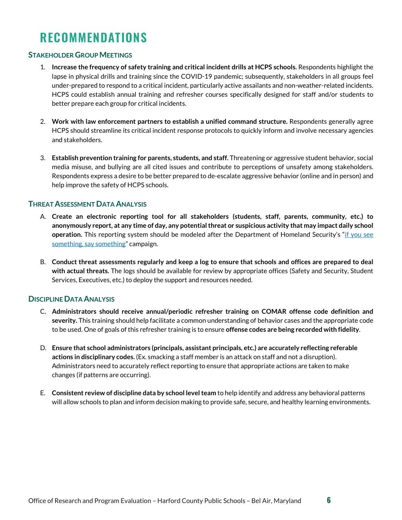## <span id="page-5-0"></span>**RECOMMENDATIONS**

## **STAKEHOLDER GROUP MEETINGS**

- 1. **Increase the frequency of safety training and critical incident drills at HCPS schools.** Respondents highlight the lapse in physical drills and training since the COVID-19 pandemic; subsequently, stakeholders in all groups feel under-prepared to respond to a critical incident, particularly active assailants and non-weather-related incidents. HCPS could establish annual training and refresher courses specifically designed for staff and/or students to better prepare each group for critical incidents.
- 2. **Work with law enforcement partners to establish a unified command structure.** Respondents generally agree HCPS should streamline its critical incident response protocols to quickly inform and involve necessary agencies and stakeholders.
- 3. **Establish prevention training for parents, students, and staff.** Threatening or aggressive student behavior, social media misuse, and bullying are all cited issues and contribute to perceptions of unsafety among stakeholders. Respondents express a desire to be better prepared to de-escalate aggressive behavior (online and in person) and help improve the safety of HCPS schools.

## **THREAT ASSESSMENT DATA ANALYSIS**

- A. **Create an electronic reporting tool for all stakeholders (students, staff, parents, community, etc.) to anonymously report, at any time of day, any potential threat or suspicious activity that may impact daily school operation.** This reporting system should be modeled after the Department of Homeland Security's ["if you see](https://nam11.safelinks.protection.outlook.com/?url=https%3A%2F%2Fwww.dhs.gov%2Fsee-something-say-something%2Fhow-to-report-suspicious-activity&data=05%7C01%7CYakoubou.Ousmanou%40hcps.org%7C4ddead24cd114fc9926b08da44cc0993%7Cc1f6ac536b774db594724f104eeac96a%7C0%7C0%7C637897940393655662%7CUnknown%7CTWFpbGZsb3d8eyJWIjoiMC4wLjAwMDAiLCJQIjoiV2luMzIiLCJBTiI6Ik1haWwiLCJXVCI6Mn0%3D%7C3000%7C%7C%7C&sdata=RnyPWqEX7MX5wM1UBVmNkm%2BSM%2FTpr03wtmEQcBfFFAk%3D&reserved=0)  [something, say something"](https://nam11.safelinks.protection.outlook.com/?url=https%3A%2F%2Fwww.dhs.gov%2Fsee-something-say-something%2Fhow-to-report-suspicious-activity&data=05%7C01%7CYakoubou.Ousmanou%40hcps.org%7C4ddead24cd114fc9926b08da44cc0993%7Cc1f6ac536b774db594724f104eeac96a%7C0%7C0%7C637897940393655662%7CUnknown%7CTWFpbGZsb3d8eyJWIjoiMC4wLjAwMDAiLCJQIjoiV2luMzIiLCJBTiI6Ik1haWwiLCJXVCI6Mn0%3D%7C3000%7C%7C%7C&sdata=RnyPWqEX7MX5wM1UBVmNkm%2BSM%2FTpr03wtmEQcBfFFAk%3D&reserved=0) campaign.
- B. **Conduct threat assessments regularly and keep a log to ensure that schools and offices are prepared to deal with actual threats.** The logs should be available for review by appropriate offices (Safety and Security, Student Services, Executives, etc.) to deploy the support and resources needed.

### **DISCIPLINE DATA ANALYSIS**

- C. **Administrators should receive annual/periodic refresher training on COMAR offense code definition and severity.** This training should help facilitate a common understanding of behavior cases and the appropriate code to be used. One of goals of this refresher training is to ensure **offense codes are being recorded with fidelity**.
- D. **Ensure that school administrators (principals, assistant principals, etc.) are accurately reflecting referable actions in disciplinary codes.** (Ex. smacking a staff member is an attack on staff and not a disruption). Administrators need to accurately reflect reporting to ensure that appropriate actions are taken to make changes (if patterns are occurring).
- E. **Consistent review of discipline data by school level team** to help identify and address any behavioral patterns will allow schools to plan and inform decision making to provide safe, secure, and healthy learning environments.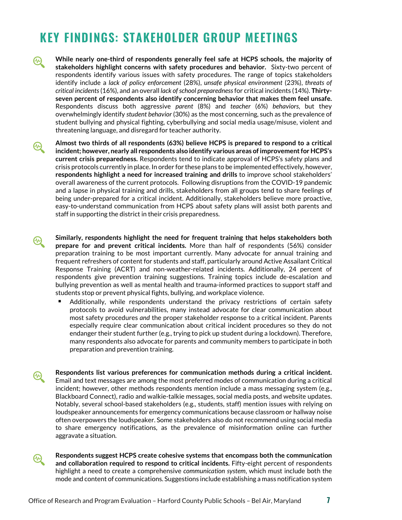## <span id="page-6-0"></span>**KEY FINDINGS: STAKEHOLDER GROUP MEETINGS**

- **While nearly one-third of respondents generally feel safe at HCPS schools, the majority of**   $\bm{\omega}$ **stakeholders highlight concerns with safety procedures and behavior.** Sixty-two percent of respondents identify various issues with safety procedures. The range of topics stakeholders identify include a *lack of policy enforcement* (28%), *unsafe physical environment* (23%), *threats of critical incidents*(16%), and an overall *lack of school preparedness*for critical incidents (14%). **Thirtyseven percent of respondents also identify concerning behavior that makes them feel unsafe.**  Respondents discuss both aggressive *parent* (8%) and *teacher* (6%) *behaviors*, but they overwhelmingly identify *student behavior* (30%) as the most concerning, such as the prevalence of student bullying and physical fighting, cyberbullying and social media usage/misuse, violent and threatening language, and disregard for teacher authority.
- **Almost two thirds of all respondents (63%) believe HCPS is prepared to respond to a critical**   $\bigcircled{\hspace{-0.75ex}{\rm\mathscr{C}}}\hspace{0.25ex}$ **incident; however, nearly all respondents also identify various areas of improvement for HCPS's current crisis preparedness.** Respondents tend to indicate approval of HCPS's safety plans and crisis protocols currently in place. In order for these plans to be implemented effectively, however, **respondents highlight a need for increased training and drills** to improve school stakeholders' overall awareness of the current protocols. Following disruptions from the COVID-19 pandemic and a lapse in physical training and drills, stakeholders from all groups tend to share feelings of being under-prepared for a critical incident. Additionally, stakeholders believe more proactive, easy-to-understand communication from HCPS about safety plans will assist both parents and staff in supporting the district in their crisis preparedness.
- **Similarly, respondents highlight the need for frequent training that helps stakeholders both**  ₩ **prepare for and prevent critical incidents.** More than half of respondents (56%) consider preparation training to be most important currently. Many advocate for annual training and frequent refreshers of content for students and staff, particularly around Active Assailant Critical Response Training (ACRT) and non-weather-related incidents. Additionally, 24 percent of respondents give prevention training suggestions. Training topics include de-escalation and bullying prevention as well as mental health and trauma-informed practices to support staff and students stop or prevent physical fights, bullying, and workplace violence.
	- Additionally, while respondents understand the privacy restrictions of certain safety protocols to avoid vulnerabilities, many instead advocate for clear communication about most safety procedures *and* the proper stakeholder response to a critical incident. Parents especially require clear communication about critical incident procedures so they do not endanger their student further (e.g., trying to pick up student during a lockdown). Therefore, many respondents also advocate for parents and community members to participate in both preparation and prevention training.

**Respondents list various preferences for communication methods during a critical incident.**  Email and text messages are among the most preferred modes of communication during a critical incident; however, other methods respondents mention include a mass messaging system (e.g., Blackboard Connect), radio and walkie-talkie messages, social media posts, and website updates. Notably, several school-based stakeholders (e.g., students, staff) mention issues with relying on loudspeaker announcements for emergency communications because classroom or hallway noise often overpowers the loudspeaker. Some stakeholders also do not recommend using social media to share emergency notifications, as the prevalence of misinformation online can further aggravate a situation.



છ્ય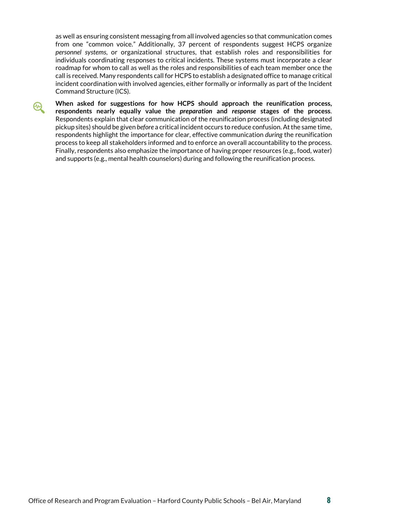as well as ensuring consistent messaging from all involved agencies so that communication comes from one "common voice." Additionally, 37 percent of respondents suggest HCPS organize *personnel systems*, or organizational structures, that establish roles and responsibilities for individuals coordinating responses to critical incidents. These systems must incorporate a clear roadmap for whom to call as well as the roles and responsibilities of each team member once the call is received. Many respondents call for HCPS to establish a designated office to manage critical incident coordination with involved agencies, either formally or informally as part of the Incident Command Structure (ICS).



**When asked for suggestions for how HCPS should approach the reunification process, respondents nearly equally value the** *preparation* **and** *response* **stages of the process**. Respondents explain that clear communication of the reunification process (including designated pickup sites) should be given *before* a critical incident occurs to reduce confusion. At the same time, respondents highlight the importance for clear, effective communication *during* the reunification process to keep all stakeholders informed and to enforce an overall accountability to the process. Finally, respondents also emphasize the importance of having proper resources (e.g., food, water) and supports (e.g., mental health counselors) during and following the reunification process.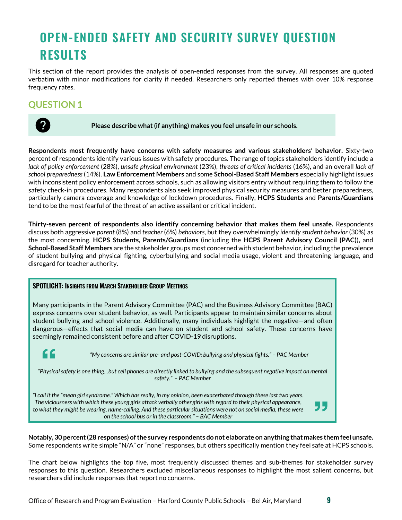## <span id="page-8-0"></span>**OPEN-ENDED SAFETY AND SECURITY SURVEY QUESTION RESULTS**

This section of the report provides the analysis of open-ended responses from the survey. All responses are quoted verbatim with minor modifications for clarity if needed. Researchers only reported themes with over 10% response frequency rates.

## <span id="page-8-1"></span>**QUESTION 1**



**Please describe what (if anything) makes you feel unsafe in our schools.**

**Respondents most frequently have concerns with safety measures and various stakeholders' behavior.** Sixty-two percent of respondents identify various issues with safety procedures. The range of topics stakeholders identify include a *lack of policy enforcement* (28%), *unsafe physical environment* (23%), *threats of critical incidents* (16%), and an overall *lack of school preparedness* (14%). **Law Enforcement Members** and some **School-Based Staff Members** especially highlight issues with inconsistent policy enforcement across schools, such as allowing visitors entry without requiring them to follow the safety check-in procedures. Many respondents also seek improved physical security measures and better preparedness, particularly camera coverage and knowledge of lockdown procedures. Finally, **HCPS Students** and **Parents/Guardians** tend to be the most fearful of the threat of an active assailant or critical incident.

**Thirty-seven percent of respondents also identify concerning behavior that makes them feel unsafe.** Respondents discuss both aggressive *parent* (8%) and *teacher* (6%) *behaviors*, but they overwhelmingly *identify student behavior* (30%) as the most concerning. **HCPS Students, Parents/Guardians** (including the **HCPS Parent Advisory Council (PAC)**)**,** and **School-Based Staff Members** are the stakeholder groups most concerned with student behavior, including the prevalence of student bullying and physical fighting, cyberbullying and social media usage, violent and threatening language, and disregard for teacher authority.

### **SPOTLIGHT: INSIGHTS FROM MARCH STAKEHOLDER GROUP MEETINGS**

Many participants in the Parent Advisory Committee (PAC) and the Business Advisory Committee (BAC) express concerns over student behavior, as well. Participants appear to maintain similar concerns about student bullying and school violence. Additionally, many individuals highlight the negative—and often dangerous—effects that social media can have on student and school safety. These concerns have seemingly remained consistent before and after COVID-19 disruptions.

66

*"My concerns are similar pre- and post-COVID: bullying and physical fights." – PAC Member*

*"Physical safety is one thing…but cell phones are directly linked to bullying and the subsequent negative impact on mental safety." – PAC Member*

*"I call it the "mean girl syndrome." Which has really, in my opinion, been exacerbated through these last two years. The viciousness with which these young girls attack verbally other girls with regard to their physical appearance,*  to what they might be wearing, name-calling. And these particular situations were not on social media, these were *on the school bus or in the classroom." – BAC Member*

**Notably, 30 percent (28 responses) of the survey respondents do not elaborate on anything that makes them feel unsafe.**  Some respondents write simple "N/A" or "none" responses, but others specifically mention they feel safe at HCPS schools.

The chart below highlights the top five, most frequently discussed themes and sub-themes for stakeholder survey responses to this question. Researchers excluded miscellaneous responses to highlight the most salient concerns, but researchers did include responses that report no concerns.

"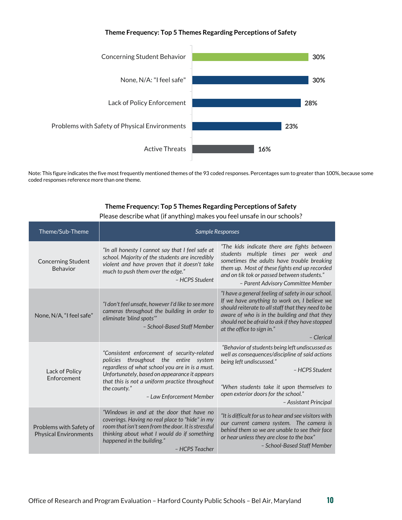### **Theme Frequency: Top 5 Themes Regarding Perceptions of Safety**



Note: This figure indicates the five most frequently mentioned themes of the 93 coded responses. Percentages sum to greater than 100%, because some coded responses reference more than one theme.

### **Theme Frequency: Top 5 Themes Regarding Perceptions of Safety**

|  | Please describe what (if anything) makes you feel unsafe in our schools? |
|--|--------------------------------------------------------------------------|
|--|--------------------------------------------------------------------------|

| Theme/Sub-Theme                                         |                                                                                                                                                                                                                                                                                           | <b>Sample Responses</b>                                                                                                                                                                                                                                                                                   |
|---------------------------------------------------------|-------------------------------------------------------------------------------------------------------------------------------------------------------------------------------------------------------------------------------------------------------------------------------------------|-----------------------------------------------------------------------------------------------------------------------------------------------------------------------------------------------------------------------------------------------------------------------------------------------------------|
| <b>Concerning Student</b><br>Behavior                   | "In all honesty I cannot say that I feel safe at<br>school. Majority of the students are incredibly<br>violent and have proven that it doesn't take<br>much to push them over the edge."<br>- HCPS Student                                                                                | "The kids indicate there are fights between<br>students multiple times per week and<br>sometimes the adults have trouble breaking<br>them up. Most of these fights end up recorded<br>and on tik tok or passed between students."<br>- Parent Advisory Committee Member                                   |
| None, N/A, "I feel safe"                                | "I don't feel unsafe, however I'd like to see more<br>cameras throughout the building in order to<br>eliminate 'blind spots'"<br>- School-Based Staff Member                                                                                                                              | "I have a general feeling of safety in our school.<br>If we have anything to work on, I believe we<br>should reiterate to all staff that they need to be<br>aware of who is in the building and that they<br>should not be afraid to ask if they have stopped<br>at the office to sign in."<br>- Clerical |
| Lack of Policy<br><b>Fnforcement</b>                    | "Consistent enforcement of security-related<br>throughout the entire system<br>policies<br>regardless of what school you are in is a must.<br>Unfortunately, based on appearance it appears<br>that this is not a uniform practice throughout<br>the county."<br>- Law Enforcement Member | "Behavior of students being left undiscussed as<br>well as consequences/discipline of said actions<br>being left undiscussed."<br>- HCPS Student<br>"When students take it upon themselves to<br>open exterior doors for the school."<br>- Assistant Principal                                            |
| Problems with Safety of<br><b>Physical Environments</b> | "Windows in and at the door that have no<br>coverings. Having no real place to "hide" in my<br>room that isn't seen from the door. It is stressful<br>thinking about what I would do if something<br>happened in the building."<br>- HCPS Teacher                                         | "It is difficult for us to hear and see visitors with<br>our current camera system. The camera is<br>behind them so we are unable to see their face<br>or hear unless they are close to the box"<br>- School-Based Staff Member                                                                           |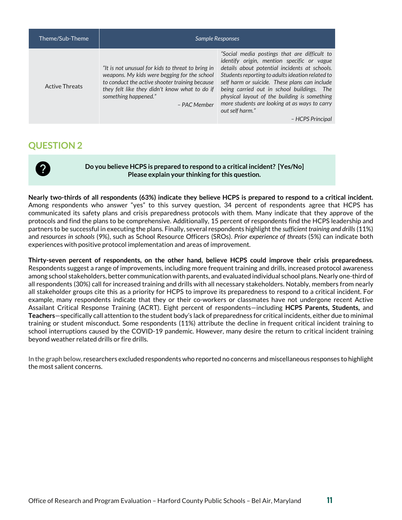| Theme/Sub-Theme       | <b>Sample Responses</b>                                                                                                                                                                                                                      |                                                                                                                                                                                                                                                                                                                                                                                                                    |
|-----------------------|----------------------------------------------------------------------------------------------------------------------------------------------------------------------------------------------------------------------------------------------|--------------------------------------------------------------------------------------------------------------------------------------------------------------------------------------------------------------------------------------------------------------------------------------------------------------------------------------------------------------------------------------------------------------------|
| <b>Active Threats</b> | "It is not unusual for kids to threat to bring in<br>weapons. My kids were begging for the school<br>to conduct the active shooter training because<br>they felt like they didn't know what to do if<br>something happened."<br>- PAC Member | "Social media postings that are difficult to<br>identify origin, mention specific or vague<br>details about potential incidents at schools.<br>Students reporting to adults ideation related to<br>self harm or suicide. These plans can include<br>being carried out in school buildings. The<br>physical layout of the building is something<br>more students are looking at as ways to carry<br>out self harm." |
|                       |                                                                                                                                                                                                                                              | - HCPS Principal                                                                                                                                                                                                                                                                                                                                                                                                   |

<span id="page-10-0"></span>

**Do you believe HCPS is prepared to respond to a critical incident? [Yes/No] Please explain your thinking for this question.**

**Nearly two-thirds of all respondents (63%) indicate they believe HCPS is prepared to respond to a critical incident.**  Among respondents who answer "yes" to this survey question, 34 percent of respondents agree that HCPS has communicated its safety plans and crisis preparedness protocols with them. Many indicate that they approve of the protocols and find the plans to be comprehensive. Additionally, 15 percent of respondents find the HCPS leadership and partners to be successful in executing the plans. Finally, several respondents highlight the *sufficient training and drills*(11%) and *resources in schools* (9%), such as School Resource Officers (SROs). *Prior experience of threats* (5%) can indicate both experiences with positive protocol implementation and areas of improvement.

**Thirty-seven percent of respondents, on the other hand, believe HCPS could improve their crisis preparedness.** Respondents suggest a range of improvements, including more frequent training and drills, increased protocol awareness among school stakeholders, better communication with parents, and evaluated individual school plans. Nearly one-third of all respondents (30%) call for increased training and drills with all necessary stakeholders. Notably, members from nearly all stakeholder groups cite this as a priority for HCPS to improve its preparedness to respond to a critical incident. For example, many respondents indicate that they or their co-workers or classmates have not undergone recent Active Assailant Critical Response Training (ACRT). Eight percent of respondents—including **HCPS Parents, Students,** and **Teachers**—specifically call attention to the student body's lack of preparedness for critical incidents, either due to minimal training or student misconduct. Some respondents (11%) attribute the decline in frequent critical incident training to school interruptions caused by the COVID-19 pandemic. However, many desire the return to critical incident training beyond weather related drills or fire drills.

In the graph below, researchers excluded respondents who reported no concerns and miscellaneous responses to highlight the most salient concerns.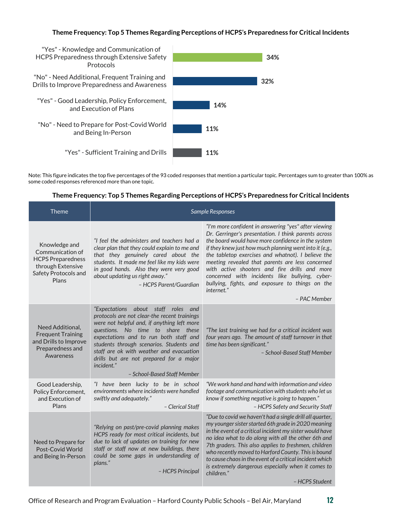### **Theme Frequency: Top 5 Themes Regarding Perceptions of HCPS's Preparedness for Critical Incidents**



Note: This figure indicates the top five percentages of the 93 coded responses that mention a particular topic. Percentages sum to greater than 100% as some coded responses referenced more than one topic.

#### **Theme Frequency: Top 5 Themes Regarding Perceptions of HCPS's Preparedness for Critical Incidents**

| <b>Theme</b>                                                                                                        |                                                                                                                                                                                                                                                                                                                                                                                                   | <b>Sample Responses</b>                                                                                                                                                                                                                                                                                                                                                                                                                                                                                                     |
|---------------------------------------------------------------------------------------------------------------------|---------------------------------------------------------------------------------------------------------------------------------------------------------------------------------------------------------------------------------------------------------------------------------------------------------------------------------------------------------------------------------------------------|-----------------------------------------------------------------------------------------------------------------------------------------------------------------------------------------------------------------------------------------------------------------------------------------------------------------------------------------------------------------------------------------------------------------------------------------------------------------------------------------------------------------------------|
| Knowledge and<br>Communication of<br><b>HCPS Preparedness</b><br>through Extensive<br>Safety Protocols and<br>Plans | "I feel the administers and teachers had a<br>clear plan that they could explain to me and<br>that they genuinely cared about the<br>students. It made me feel like my kids were<br>in good hands. Also they were very good<br>about updating us right away."<br>- HCPS Parent/Guardian                                                                                                           | "I'm more confident in answering "yes" after viewing<br>Dr. Gerringer's presentation. I think parents across<br>the board would have more confidence in the system<br>if they knew just how much planning went into it (e.g.,<br>the tabletop exercises and whatnot). I believe the<br>meeting revealed that parents are less concerned<br>with active shooters and fire drills and more<br>concerned with incidents like bullying, cyber-<br>bullying, fights, and exposure to things on the<br>internet."<br>– PAC Member |
| Need Additional,<br><b>Frequent Training</b><br>and Drills to Improve<br>Preparedness and<br>Awareness              | "Expectations about staff roles and<br>protocols are not clear-the recent trainings<br>were not helpful and, if anything left more<br>questions. No time to share these<br>expectations and to run both staff and<br>students through scenarios. Students and<br>staff are ok with weather and evacuation<br>drills but are not prepared for a major<br>incident."<br>- School-Based Staff Member | "The last training we had for a critical incident was<br>four years ago. The amount of staff turnover in that<br>time has been significant."<br>- School-Based Staff Member                                                                                                                                                                                                                                                                                                                                                 |
| Good Leadership,<br>Policy Enforcement,<br>and Execution of<br>Plans                                                | "I have been lucky to be in school<br>environments where incidents were handled<br>swiftly and adequately."<br>- Clerical Staff                                                                                                                                                                                                                                                                   | "We work hand and hand with information and video<br>footage and communication with students who let us<br>know if something negative is going to happen."<br>- HCPS Safety and Security Staff                                                                                                                                                                                                                                                                                                                              |
| Need to Prepare for<br>Post-Covid World<br>and Being In-Person                                                      | "Relying on past/pre-covid planning makes<br>HCPS ready for most critical incidents, but<br>due to lack of updates on training for new<br>staff or staff now at new buildings, there<br>could be some gaps in understanding of<br>plans."<br>- HCPS Principal                                                                                                                                     | "Due to covid we haven't had a single drill all quarter,<br>my younger sister started 6th grade in 2020 meaning<br>in the event of a critical incident my sister would have<br>no idea what to do along with all the other 6th and<br>7th graders. This also applies to freshmen, children<br>who recently moved to Harford County. This is bound<br>to cause chaos in the event of a critical incident which<br>is extremely dangerous especially when it comes to<br>children."<br>- HCPS Student                         |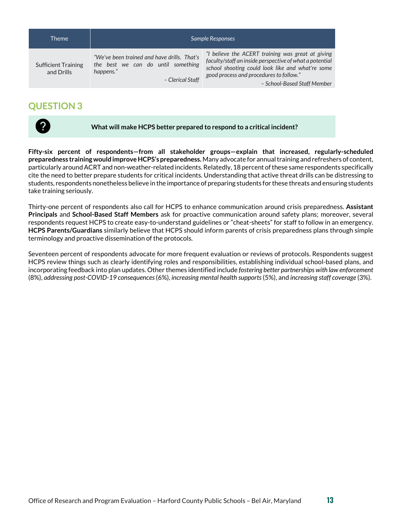| <b>Theme</b>                             |                                                                                                                    | Sample Responses                                                                                                                                                                                                                           |
|------------------------------------------|--------------------------------------------------------------------------------------------------------------------|--------------------------------------------------------------------------------------------------------------------------------------------------------------------------------------------------------------------------------------------|
| <b>Sufficient Training</b><br>and Drills | "We've been trained and have drills. That's<br>the best we can do until something<br>happens."<br>- Clerical Staff | "I believe the ACERT training was great at giving<br>faculty/staff an inside perspective of what a potential<br>school shooting could look like and what're some<br>good process and procedures to follow."<br>- School-Based Staff Member |

<span id="page-12-0"></span>

**What will make HCPS better prepared to respond to a critical incident?**

**Fifty-six percent of respondents—from all stakeholder groups—explain that increased, regularly-scheduled preparedness training would improve HCPS's preparedness.** Many advocate for annual training and refreshers of content, particularly around ACRT and non-weather-related incidents. Relatedly, 18 percent ofthese same respondents specifically cite the need to better prepare students for critical incidents. Understanding that active threat drills can be distressing to students, respondents nonetheless believe in the importance of preparing students for these threats and ensuring students take training seriously.

Thirty-one percent of respondents also call for HCPS to enhance communication around crisis preparedness. **Assistant Principals** and **School-Based Staff Members** ask for proactive communication around safety plans; moreover, several respondents request HCPS to create easy-to-understand guidelines or "cheat-sheets" for staff to follow in an emergency. **HCPS Parents/Guardians** similarly believe that HCPS should inform parents of crisis preparedness plans through simple terminology and proactive dissemination of the protocols.

Seventeen percent of respondents advocate for more frequent evaluation or reviews of protocols. Respondents suggest HCPS review things such as clearly identifying roles and responsibilities, establishing individual school-based plans, and incorporating feedback into plan updates. Other themes identified include *fostering better partnerships with law enforcement* (8%), *addressing post-COVID-19 consequences*(6%), *increasing mental health supports*(5%), and *increasing staff coverage* (3%).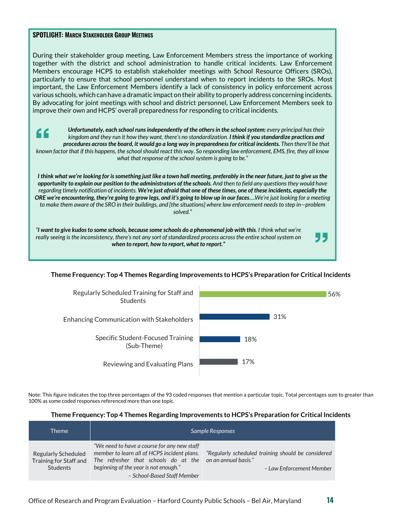#### **SPOTLIGHT: MARCH STAKEHOLDER GROUP MEETINGS**

During their stakeholder group meeting, Law Enforcement Members stress the importance of working together with the district and school administration to handle critical incidents. Law Enforcement Members encourage HCPS to establish stakeholder meetings with School Resource Officers (SROs), particularly to ensure that school personnel understand when to report incidents to the SROs. Most important, the Law Enforcement Members identify a lack of consistency in policy enforcement across various schools, which can have a dramatic impact on their ability to properly address concerning incidents. By advocating for joint meetings with school and district personnel, Law Enforcement Members seek to improve their own and HCPS' overall preparedness for responding to critical incidents.

*Unfortunately, each school runs independently of the others in the school system; every principal has their*  <u>"</u> *kingdom and they run it how they want, there's no standardization. I think if you standardize practices and procedures across the board, it would go a long way in preparedness for critical incidents. Then there'll be that known factor that if this happens, the school should react this way. So responding law enforcement, EMS, fire, they all know what that response of the school system is going to be."* 

*I think what we're looking for is something just like a town hall meeting, preferably in the near future, just to give us the opportunity to explain our position to the administrators of the schools. And then to field any questions they would have regarding timely notification of incidents. We're just afraid that one of these times, one of these incidents, especially the ORE we're encountering, they're going to grow legs, and it's going to blow up in our faces….We're just looking for a meeting to make them aware of the SRO in their buildings, and [the situations] where law enforcement needs to step in—problem solved."*

*"I want to give kudos to some schools, because some schools do a phenomenal job with this. I think what we're really seeing is the inconsistency, there's not any sort of standardized process across the entire school system on when to report, how to report, what to report."*

### **Theme Frequency: Top 4 Themes Regarding Improvements to HCPS's Preparation for Critical Incidents**



Note: This figure indicates the top three percentages of the 93 coded responses that mention a particular topic. Total percentages sum to greater than 100% as some coded responses referenced more than one topic.

#### **Theme Frequency: Top 4 Themes Regarding Improvements to HCPS's Preparation for Critical Incidents**

| Theme                                                            |                                                                                                                                                                                                            | Sample Responses                                                                                       |
|------------------------------------------------------------------|------------------------------------------------------------------------------------------------------------------------------------------------------------------------------------------------------------|--------------------------------------------------------------------------------------------------------|
| Regularly Scheduled<br>Training for Staff and<br><b>Students</b> | "We need to have a course for any new staff<br>member to learn all of HCPS incident plans.<br>The refresher that schools do at the<br>beginning of the year is not enough."<br>- School-Based Staff Member | "Regularly scheduled training should be considered<br>on an annual basis."<br>- Law Enforcement Member |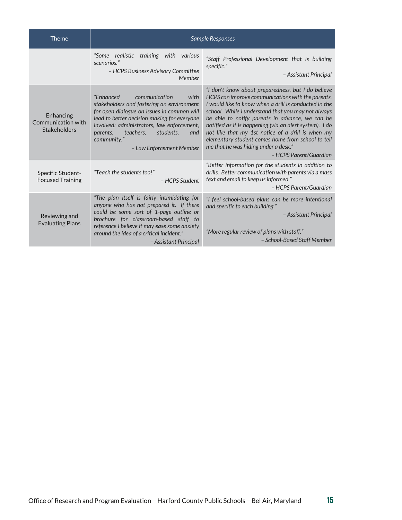| Theme                                                  |                                                                                                                                                                                                                                                                                                                    | <b>Sample Responses</b>                                                                                                                                                                                                                                                                                                                                                                                                                                                                                          |
|--------------------------------------------------------|--------------------------------------------------------------------------------------------------------------------------------------------------------------------------------------------------------------------------------------------------------------------------------------------------------------------|------------------------------------------------------------------------------------------------------------------------------------------------------------------------------------------------------------------------------------------------------------------------------------------------------------------------------------------------------------------------------------------------------------------------------------------------------------------------------------------------------------------|
|                                                        | "Some realistic training with various<br>scenarios."<br>- HCPS Business Advisory Committee<br>Member                                                                                                                                                                                                               | "Staff Professional Development that is building<br>specific."<br>- Assistant Principal                                                                                                                                                                                                                                                                                                                                                                                                                          |
| Enhancing<br>Communication with<br><b>Stakeholders</b> | "Enhanced<br>communication<br>with<br>stakeholders and fostering an environment<br>for open dialogue on issues in common will<br>lead to better decision making for everyone<br>involved: administrators, law enforcement,<br>teachers.<br>students,<br>parents,<br>and<br>community."<br>- Law Enforcement Member | "I don't know about preparedness, but I do believe<br>HCPS can improve communications with the parents.<br>I would like to know when a drill is conducted in the<br>school. While I understand that you may not always<br>be able to notify parents in advance, we can be<br>notified as it is happening (via an alert system). I do<br>not like that my 1st notice of a drill is when my<br>elementary student comes home from school to tell<br>me that he was hiding under a desk."<br>- HCPS Parent/Guardian |
| Specific Student-<br><b>Focused Training</b>           | "Teach the students too!"<br>- HCPS Student                                                                                                                                                                                                                                                                        | "Better information for the students in addition to<br>drills. Better communication with parents via a mass<br>text and email to keep us informed."<br>- HCPS Parent/Guardian                                                                                                                                                                                                                                                                                                                                    |
| Reviewing and<br><b>Evaluating Plans</b>               | "The plan itself is fairly intimidating for<br>anyone who has not prepared it. If there<br>could be some sort of 1-page outline or<br>brochure for classroom-based staff to<br>reference I believe it may ease some anxiety<br>around the idea of a critical incident."<br>- Assistant Principal                   | "I feel school-based plans can be more intentional<br>and specific to each building."<br>- Assistant Principal<br>"More regular review of plans with staff."<br>- School-Based Staff Member                                                                                                                                                                                                                                                                                                                      |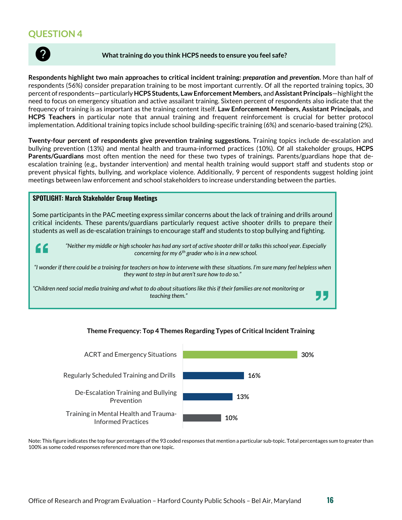<span id="page-15-0"></span>

#### **What training do you think HCPS needs to ensure you feel safe?**

**Respondents highlight two main approaches to critical incident training:** *preparation* **and** *prevention***.** More than half of respondents (56%) consider preparation training to be most important currently. Of all the reported training topics, 30 percent of respondents—particularly **HCPS Students, Law Enforcement Members,** and **Assistant Principals**—highlight the need to focus on emergency situation and active assailant training. Sixteen percent of respondents also indicate that the frequency of training is as important as the training content itself. **Law Enforcement Members, Assistant Principals,** and **HCPS Teachers** in particular note that annual training and frequent reinforcement is crucial for better protocol implementation. Additional training topics include school building-specific training (6%) and scenario-based training (2%).

**Twenty-four percent of respondents give prevention training suggestions.** Training topics include de-escalation and bullying prevention (13%) and mental health and trauma-informed practices (10%). Of all stakeholder groups, **HCPS Parents/Guardians** most often mention the need for these two types of trainings. Parents/guardians hope that deescalation training (e.g., bystander intervention) and mental health training would support staff and students stop or prevent physical fights, bullying, and workplace violence. Additionally, 9 percent of respondents suggest holding joint meetings between law enforcement and school stakeholders to increase understanding between the parties.

#### **SPOTLIGHT: March Stakeholder Group Meetings**

Some participants in the PAC meeting express similar concerns about the lack of training and drills around critical incidents. These parents/guardians particularly request active shooter drills to prepare their students as well as de-escalation trainings to encourage staff and students to stop bullying and fighting.



*"Neither my middle or high schooler has had any sort of active shooter drill or talks this school year. Especially concerning for my 6th grader who is in a new school.*

*"I wonder if there could be a training for teachers on how to intervene with these situations. I'm sure many feel helpless when they want to step in but aren't sure how to do so."*

*"Children need social media training and what to do about situations like this if their families are not monitoring or teaching them."*

## **10% 13% 16% 30%** Training in Mental Health and Trauma-Informed Practices De-Escalation Training and Bullying Prevention Regularly Scheduled Training and Drills ACRT and Emergency Situations

### **Theme Frequency: Top 4 Themes Regarding Types of Critical Incident Training**

Note: This figure indicates the top four percentages of the 93 coded responses that mention a particular sub-topic. Total percentages sum to greater than 100% as some coded responses referenced more than one topic.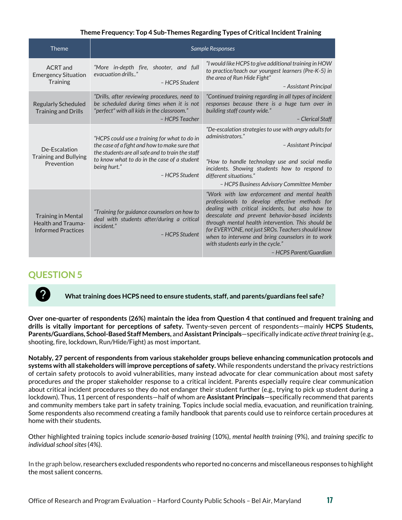### **Theme Frequency: Top 4 Sub-Themes Regarding Types of Critical Incident Training**

| <b>Theme</b>                                                                        |                                                                                                                                                                                                                                    | <b>Sample Responses</b>                                                                                                                                                                                                                                                                                                                                                                                                               |
|-------------------------------------------------------------------------------------|------------------------------------------------------------------------------------------------------------------------------------------------------------------------------------------------------------------------------------|---------------------------------------------------------------------------------------------------------------------------------------------------------------------------------------------------------------------------------------------------------------------------------------------------------------------------------------------------------------------------------------------------------------------------------------|
| ACRT and<br><b>Emergency Situation</b><br>Training                                  | "More in-depth fire, shooter, and full<br>evacuation drills"<br>- HCPS Student                                                                                                                                                     | "I would like HCPS to give additional training in HOW<br>to practice/teach our youngest learners (Pre-K-5) in<br>the area of Run Hide Fight"<br>- Assistant Principal                                                                                                                                                                                                                                                                 |
| <b>Regularly Scheduled</b><br><b>Training and Drills</b>                            | "Drills, after reviewing procedures, need to<br>be scheduled during times when it is not<br>"perfect" with all kids in the classroom."<br>- HCPS Teacher                                                                           | "Continued training regarding in all types of incident<br>responses because there is a huge turn over in<br>building staff county wide."<br>- Clerical Staff                                                                                                                                                                                                                                                                          |
| De-Escalation<br><b>Training and Bullying</b><br>Prevention                         | "HCPS could use a training for what to do in<br>the case of a fight and how to make sure that<br>the students are all safe and to train the staff<br>to know what to do in the case of a student<br>being hurt."<br>- HCPS Student | "De-escalation strategies to use with angry adults for<br>administrators."<br>- Assistant Principal<br>"How to handle technology use and social media<br>incidents. Showing students how to respond to<br>different situations."<br>- HCPS Business Advisory Committee Member                                                                                                                                                         |
| <b>Training in Mental</b><br><b>Health and Trauma-</b><br><b>Informed Practices</b> | "Training for guidance counselors on how to<br>deal with students after/during a critical<br>incident."<br>- HCPS Student                                                                                                          | "Work with law enforcement and mental health<br>professionals to develop effective methods for<br>dealing with critical incidents, but also how to<br>deescalate and prevent behavior-based incidents<br>through mental health intervention. This should be<br>for EVERYONE, not just SROs. Teachers should know<br>when to intervene and bring counselors in to work<br>with students early in the cycle."<br>- HCPS Parent/Guardian |

## <span id="page-16-0"></span>**QUESTION 5**



**Over one-quarter of respondents (26%) maintain the idea from Question 4 that continued and frequent training and drills is vitally important for perceptions of safety.** Twenty-seven percent of respondents—mainly **HCPS Students, Parents/Guardians, School-Based Staff Members,** and **Assistant Principals**—specifically indicate *active threat training* (e.g., shooting, fire, lockdown, Run/Hide/Fight) as most important.

**Notably, 27 percent of respondents from various stakeholder groups believe enhancing communication protocols and systems with all stakeholders will improve perceptions of safety.** While respondents understand the privacy restrictions of certain safety protocols to avoid vulnerabilities, many instead advocate for clear communication about most safety procedures *and* the proper stakeholder response to a critical incident. Parents especially require clear communication about critical incident procedures so they do not endanger their student further (e.g., trying to pick up student during a lockdown). Thus, 11 percent of respondents—half of whom are **Assistant Principals**—specifically recommend that parents and community members take part in safety training. Topics include social media, evacuation, and reunification training. Some respondents also recommend creating a family handbook that parents could use to reinforce certain procedures at home with their students.

Other highlighted training topics include *scenario-based training* (10%), *mental health training* (9%), and *training specific to individual school sites*(4%).

In the graph below, researchers excluded respondents who reported no concerns and miscellaneous responses to highlight the most salient concerns.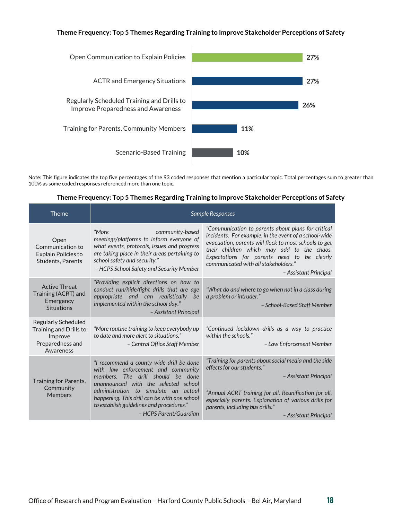#### **Theme Frequency: Top 5 Themes Regarding Training to Improve Stakeholder Perceptions of Safety**



Note: This figure indicates the top five percentages of the 93 coded responses that mention a particular topic. Total percentages sum to greater than 100% as some coded responses referenced more than one topic.

| <b>Theme</b>                                                                              |                                                                                                                                                                                                                                                  | <b>Sample Responses</b>                                                                                                                                                                                                                                                                                                            |
|-------------------------------------------------------------------------------------------|--------------------------------------------------------------------------------------------------------------------------------------------------------------------------------------------------------------------------------------------------|------------------------------------------------------------------------------------------------------------------------------------------------------------------------------------------------------------------------------------------------------------------------------------------------------------------------------------|
| Open<br>Communication to<br><b>Explain Policies to</b><br><b>Students, Parents</b>        | "More<br>community-based<br>meetings/platforms to inform everyone of<br>what events, protocols, issues and progress<br>are taking place in their areas pertaining to<br>school safety and security."<br>– HCPS School Safety and Security Member | "Communication to parents about plans for critical<br>incidents. For example, in the event of a school-wide<br>evacuation, parents will flock to most schools to get<br>their children which may add to the chaos.<br>Expectations for parents need to be clearly<br>communicated with all stakeholders."<br>- Assistant Principal |
| <b>Active Threat</b><br>Training (ACRT) and<br>Emergency<br><b>Situations</b>             | "Providing explicit directions on how to<br>conduct run/hide/fight drills that are age<br>appropriate and can realistically<br>be<br>implemented within the school day."<br>- Assistant Principal                                                | "What do and where to go when not in a class during<br>a problem or intruder."<br>- School-Based Staff Member                                                                                                                                                                                                                      |
| Regularly Scheduled<br>Training and Drills to<br>Improve<br>Preparedness and<br>Awareness | "More routine training to keep everybody up<br>to date and more alert to situations."<br>- Central Office Staff Member                                                                                                                           | "Continued lockdown drills as a way to practice<br>within the schools."<br>- Law Enforcement Member                                                                                                                                                                                                                                |
| Training for Parents,                                                                     | "I recommend a county wide drill be done<br>with law enforcement and community<br>members. The drill should be done<br>unannounced with the selected school                                                                                      | "Training for parents about social media and the side<br>effects for our students."<br>- Assistant Principal                                                                                                                                                                                                                       |
| Community<br><b>Members</b>                                                               | administration to simulate an actual<br>happening. This drill can be with one school<br>to establish guidelines and procedures."<br>- HCPS Parent/Guardian                                                                                       | "Annual ACRT training for all. Reunification for all,<br>especially parents. Explanation of various drills for<br>parents, including bus drills."<br>- Assistant Principal                                                                                                                                                         |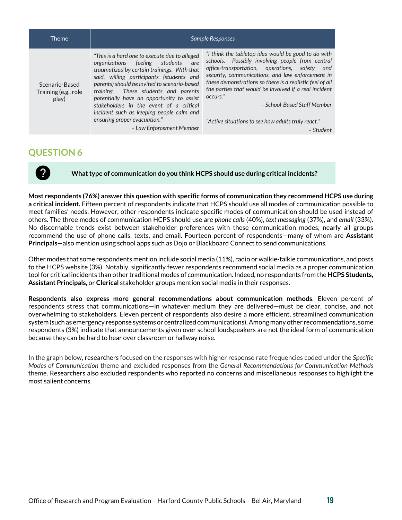| Theme                                           |                                                                                                                                                                                                                                                                                                                                                                      | <b>Sample Responses</b>                                                                                                                                                                                                                                                                                                                                                        |
|-------------------------------------------------|----------------------------------------------------------------------------------------------------------------------------------------------------------------------------------------------------------------------------------------------------------------------------------------------------------------------------------------------------------------------|--------------------------------------------------------------------------------------------------------------------------------------------------------------------------------------------------------------------------------------------------------------------------------------------------------------------------------------------------------------------------------|
| Scenario-Based<br>Training (e.g., role<br>play) | "This is a hard one to execute due to alleged<br>organizations feeling<br>students<br>are<br>traumatized by certain trainings. With that<br>said, willing participants (students and<br>parents) should be invited to scenario-based<br>training. These students and parents<br>potentially have an opportunity to assist<br>stakeholders in the event of a critical | "I think the tabletop idea would be good to do with<br>schools. Possibly involving people from central<br>office-transportation, operations, safety<br>and<br>security, communications, and law enforcement in<br>these demonstrations so there is a realistic feel of all<br>the parties that would be involved if a real incident<br>occurs."<br>- School-Based Staff Member |
|                                                 | incident such as keeping people calm and<br>ensuring proper evacuation."<br>- Law Enforcement Member                                                                                                                                                                                                                                                                 | "Active situations to see how adults truly react."<br>- Student                                                                                                                                                                                                                                                                                                                |

<span id="page-18-0"></span>

**What type of communication do you think HCPS should use during critical incidents?**

**Most respondents (76%) answer this question with specific forms of communication they recommend HCPS use during a critical incident.** Fifteen percent of respondents indicate that HCPS should use all modes of communication possible to meet families' needs. However, other respondents indicate specific modes of communication should be used instead of others. The three modes of communication HCPS should use are *phone calls* (40%), *text messaging* (37%), and *email* (33%). No discernable trends exist between stakeholder preferences with these communication modes; nearly all groups recommend the use of phone calls, texts, and email. Fourteen percent of respondents—many of whom are **Assistant Principals**—also mention using school apps such as Dojo or Blackboard Connect to send communications.

Other modes that some respondents mention include social media (11%), radio or walkie-talkie communications, and posts to the HCPS website (3%). Notably, significantly fewer respondents recommend social media as a proper communication tool for critical incidents than other traditional modes of communication. Indeed, no respondents from the **HCPS Students, Assistant Principals,** or **Clerical** stakeholder groups mention social media in their responses.

**Respondents also express more general recommendations about communication methods**. Eleven percent of respondents stress that communications—in whatever medium they are delivered—must be clear, concise, and not overwhelming to stakeholders. Eleven percent of respondents also desire a more efficient, streamlined communication system (such as emergency response systems or centralized communications).Among many other recommendations, some respondents (3%) indicate that announcements given over school loudspeakers are not the ideal form of communication because they can be hard to hear over classroom or hallway noise.

In the graph below, researchers focused on the responses with higher response rate frequencies coded under the *Specific Modes of Communication* theme and excluded responses from the *General Recommendations for Communication Methods* theme. Researchers also excluded respondents who reported no concerns and miscellaneous responses to highlight the most salient concerns.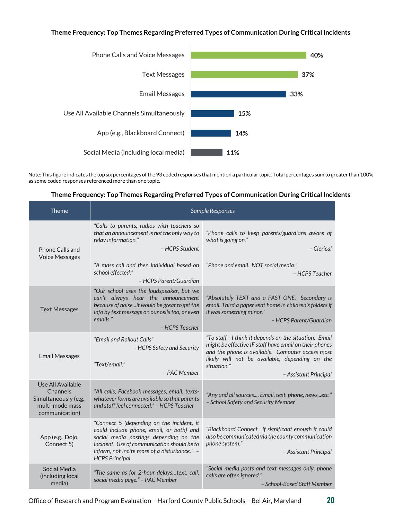### **Theme Frequency: Top Themes Regarding Preferred Types of Communication During Critical Incidents**



Note: This figure indicates the top six percentages of the 93 coded responses that mention a particular topic. Total percentages sum to greater than 100% as some coded responses referenced more than one topic.

### **Theme Frequency: Top Themes Regarding Preferred Types of Communication During Critical Incidents**

| Theme                                                                                       | Sample Responses                                                                                                                                                                                                                                        |                                                                                                                                                                                                                                                                |
|---------------------------------------------------------------------------------------------|---------------------------------------------------------------------------------------------------------------------------------------------------------------------------------------------------------------------------------------------------------|----------------------------------------------------------------------------------------------------------------------------------------------------------------------------------------------------------------------------------------------------------------|
| Phone Calls and<br><b>Voice Messages</b>                                                    | "Calls to parents, radios with teachers so<br>that an announcement is not the only way to<br>relay information."<br>- HCPS Student                                                                                                                      | "Phone calls to keep parents/guardians aware of<br>what is going on."<br>- Clerical                                                                                                                                                                            |
|                                                                                             | "A mass call and then individual based on<br>school effected."<br>- HCPS Parent/Guardian                                                                                                                                                                | "Phone and email. NOT social media."<br>- HCPS Teacher                                                                                                                                                                                                         |
| <b>Text Messages</b>                                                                        | "Our school uses the loudspeaker, but we<br>can't always hear the announcement<br>because of noiseit would be great to get the<br>info by text message on our cells too, or even<br>emails."<br>- HCPS Teacher                                          | "Absolutely TEXT and a FAST ONE. Secondary is<br>email. Third a paper sent home in children's folders if<br>it was something minor."<br>- HCPS Parent/Guardian                                                                                                 |
| <b>Email Messages</b>                                                                       | "Email and Rollout Calls"<br>- HCPS Safety and Security<br>"Text/email."<br>- PAC Member                                                                                                                                                                | "To staff - I think it depends on the situation. Email<br>might be effective IF staff have email on their phones<br>and the phone is available. Computer access most<br>likely will not be available, depending on the<br>situation."<br>- Assistant Principal |
| Use All Available<br>Channels<br>Simultaneously (e.g.,<br>multi-mode mass<br>communication) | "All calls, Facebook messages, email, texts-<br>whatever forms are available so that parents<br>and staff feel connected." - HCPS Teacher                                                                                                               | "Any and all sources Email, text, phone, newsetc."<br>- School Safety and Security Member                                                                                                                                                                      |
| App (e.g., Dojo,<br>Connect 5)                                                              | "Connect 5 (depending on the incident, it<br>could include phone, email, or both) and<br>social media postings depending on the<br>incident. Use of communication should be to<br>inform, not incite more of a disturbance." -<br><b>HCPS Principal</b> | "Blackboard Connect. If significant enough it could<br>also be communicated via the county communication<br>phone system."<br>- Assistant Principal                                                                                                            |
| Social Media<br>(including local<br>media)                                                  | "The same as for 2-hour delaystext, call,<br>social media page." - PAC Member                                                                                                                                                                           | "Social media posts and text messages only, phone<br>calls are often ignored."<br>- School-Based Staff Member                                                                                                                                                  |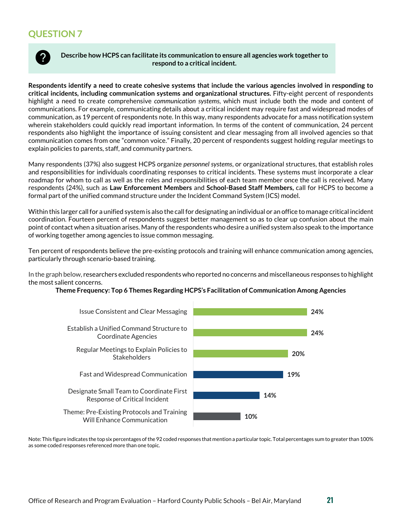<span id="page-20-0"></span>

**Describe how HCPS can facilitate its communication to ensure all agencies work together to respond to a critical incident.**

**Respondents identify a need to create cohesive systems that include the various agencies involved in responding to critical incidents, including communication systems and organizational structures.** Fifty-eight percent of respondents highlight a need to create comprehensive *communication systems*, which must include both the mode and content of communications. For example, communicating details about a critical incident may require fast and widespread modes of communication, as 19 percent of respondents note. In this way, many respondents advocate for a mass notification system wherein stakeholders could quickly read important information. In terms of the content of communication, 24 percent respondents also highlight the importance of issuing consistent and clear messaging from all involved agencies so that communication comes from one "common voice." Finally, 20 percent of respondents suggest holding regular meetings to explain policies to parents, staff, and community partners.

Many respondents (37%) also suggest HCPS organize *personnel systems*, or organizational structures, that establish roles and responsibilities for individuals coordinating responses to critical incidents. These systems must incorporate a clear roadmap for whom to call as well as the roles and responsibilities of each team member once the call is received. Many respondents (24%), such as **Law Enforcement Members** and **School-Based Staff Members,** call for HCPS to become a formal part of the unified command structure under the Incident Command System (ICS) model.

Within this larger call for a unified system is also the call for designating an individual or an office to manage critical incident coordination. Fourteen percent of respondents suggest better management so as to clear up confusion about the main point of contact when a situation arises. Many of the respondents who desire a unified system also speak to the importance of working together among agencies to issue common messaging.

Ten percent of respondents believe the pre-existing protocols and training will enhance communication among agencies, particularly through scenario-based training.

In the graph below, researchers excluded respondents who reported no concerns and miscellaneous responses to highlight the most salient concerns.

#### **Theme Frequency: Top 6 Themes Regarding HCPS's Facilitation of Communication Among Agencies**



Note: This figure indicates the top six percentages of the 92 coded responses that mention a particular topic. Total percentages sum to greater than 100% as some coded responses referenced more than one topic.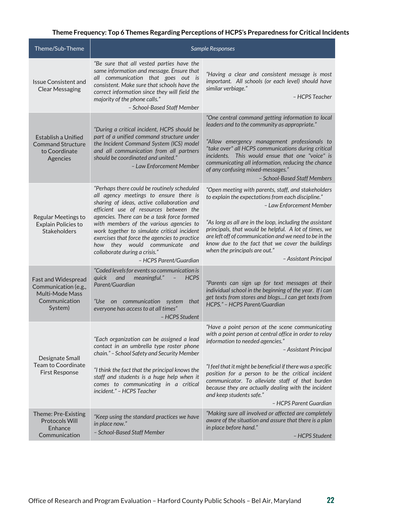## **Theme Frequency: Top 6 Themes Regarding Perceptions of HCPS's Preparedness for Critical Incidents**

| Theme/Sub-Theme                                                                            | Sample Responses                                                                                                                                                                                                                                                                                                                                                                                                                                                       |                                                                                                                                                                                                                                                                                                                                                                                                                                                             |
|--------------------------------------------------------------------------------------------|------------------------------------------------------------------------------------------------------------------------------------------------------------------------------------------------------------------------------------------------------------------------------------------------------------------------------------------------------------------------------------------------------------------------------------------------------------------------|-------------------------------------------------------------------------------------------------------------------------------------------------------------------------------------------------------------------------------------------------------------------------------------------------------------------------------------------------------------------------------------------------------------------------------------------------------------|
| <b>Issue Consistent and</b><br><b>Clear Messaging</b>                                      | "Be sure that all vested parties have the<br>same information and message. Ensure that<br>all communication that goes out is<br>consistent. Make sure that schools have the<br>correct information since they will field the<br>majority of the phone calls."<br>- School-Based Staff Member                                                                                                                                                                           | "Having a clear and consistent message is most<br>important. All schools (or each level) should have<br>similar verbiage."<br>- HCPS Teacher                                                                                                                                                                                                                                                                                                                |
| Establish a Unified<br><b>Command Structure</b><br>to Coordinate<br>Agencies               | "During a critical incident, HCPS should be<br>part of a unified command structure under<br>the Incident Command System (ICS) model<br>and all communication from all partners<br>should be coordinated and united."<br>- Law Enforcement Member                                                                                                                                                                                                                       | "One central command getting information to local<br>leaders and to the community as appropriate."<br>"Allow emergency management professionals to<br>"take over" all HCPS communications during critical<br>incidents. This would ensue that one "voice" is<br>communicating all information, reducing the chance<br>of any confusing mixed-messages."<br>- School-Based Staff Members                                                                     |
| Regular Meetings to<br><b>Explain Policies to</b><br>Stakeholders                          | "Perhaps there could be routinely scheduled<br>all agency meetings to ensure there is<br>sharing of ideas, active collaboration and<br>efficient use of resources between the<br>agencies. There can be a task force formed<br>with members of the various agencies to<br>work together to simulate critical incident<br>exercises that force the agencies to practice<br>how they would communicate<br>and<br>collaborate during a crisis."<br>- HCPS Parent/Guardian | "Open meeting with parents, staff, and stakeholders<br>to explain the expectations from each discipline."<br>- Law Enforcement Member<br>"As long as all are in the loop, including the assistant<br>principals, that would be helpful. A lot of times, we<br>are left off of communication and we need to be in the<br>know due to the fact that we cover the buildings<br>when the principals are out."<br>- Assistant Principal                          |
| Fast and Widespread<br>Communication (e.g.,<br>Multi-Mode Mass<br>Communication<br>System) | "Coded levels for events so communication is<br><i>auick</i><br>and<br>meaningful."<br><b>HCPS</b><br>$\overline{\phantom{a}}$<br>Parent/Guardian<br>"Use on communication system<br>that<br>everyone has access to at all times"<br>- HCPS Student                                                                                                                                                                                                                    | "Parents can sign up for text messages at their<br>individual school in the beginning of the year. If i can<br>get texts from stores and blogsI can get texts from<br>HCPS." - HCPS Parent/Guardian                                                                                                                                                                                                                                                         |
| Designate Small<br>Team to Coordinate<br><b>First Response</b>                             | "Each organization can be assigned a lead<br>contact in an umbrella type roster phone<br>chain." - School Safety and Security Member<br>"I think the fact that the principal knows the<br>staff and students is a huge help when it<br>comes to communicating in a critical<br>incident." - HCPS Teacher                                                                                                                                                               | "Have a point person at the scene communicating<br>with a point person at central office in order to relay<br>information to needed agencies."<br>- Assistant Principal<br>"I feel that it might be beneficial if there was a specific<br>position for a person to be the critical incident<br>communicator. To alleviate staff of that burden<br>because they are actually dealing with the incident<br>and keep students safe."<br>- HCPS Parent Guardian |
| Theme: Pre-Existing<br><b>Protocols Will</b><br>Enhance<br>Communication                   | "Keep using the standard practices we have<br>in place now."<br>- School-Based Staff Member                                                                                                                                                                                                                                                                                                                                                                            | "Making sure all involved or affected are completely<br>aware of the situation and assure that there is a plan<br>in place before hand."<br>- HCPS Student                                                                                                                                                                                                                                                                                                  |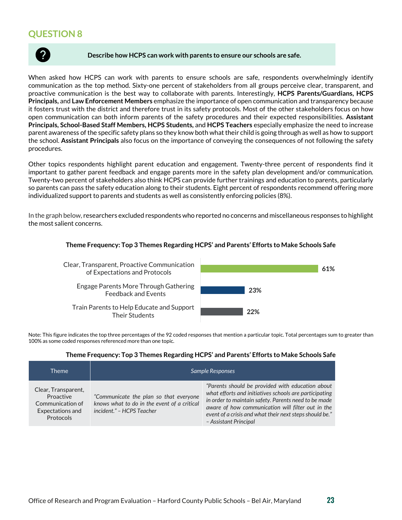<span id="page-22-0"></span>

#### **Describe how HCPS can work with parents to ensure our schools are safe.**

When asked how HCPS can work with parents to ensure schools are safe, respondents overwhelmingly identify communication as the top method. Sixty-one percent of stakeholders from all groups perceive clear, transparent, and proactive communication is the best way to collaborate with parents. Interestingly, **HCPS Parents/Guardians, HCPS Principals,** and **Law Enforcement Members** emphasize the importance of open communication and transparency because it fosters trust with the district and therefore trust in its safety protocols. Most of the other stakeholders focus on how open communication can both inform parents of the safety procedures and their expected responsibilities. **Assistant Principals, School-Based Staff Members, HCPS Students,** and **HCPS Teachers** especially emphasize the need to increase parent awareness of the specific safety plans so they know both what their child is going through as well as how to support the school. **Assistant Principals** also focus on the importance of conveying the consequences of not following the safety procedures.

Other topics respondents highlight parent education and engagement. Twenty-three percent of respondents find it important to gather parent feedback and engage parents more in the safety plan development and/or communication. Twenty-two percent of stakeholders also think HCPS can provide further trainings and education to parents, particularly so parents can pass the safety education along to their students. Eight percent of respondents recommend offering more individualized support to parents and students as well as consistently enforcing policies (8%).

In the graph below, researchers excluded respondents who reported no concerns and miscellaneous responses to highlight the most salient concerns.

#### **22% 23% 61%** Train Parents to Help Educate and Support Their Students Engage Parents More Through Gathering Feedback and Events Clear, Transparent, Proactive Communication of Expectations and Protocols

## **Theme Frequency: Top 3 Themes Regarding HCPS' and Parents' Efforts to Make Schools Safe**

Note: This figure indicates the top three percentages of the 92 coded responses that mention a particular topic. Total percentages sum to greater than 100% as some coded responses referenced more than one topic.

#### **Theme Frequency: Top 3 Themes Regarding HCPS' and Parents' Efforts to Make Schools Safe**

| Theme                                                                                        | Sample Responses                                                                                                   |                                                                                                                                                                                                                                                                                                             |
|----------------------------------------------------------------------------------------------|--------------------------------------------------------------------------------------------------------------------|-------------------------------------------------------------------------------------------------------------------------------------------------------------------------------------------------------------------------------------------------------------------------------------------------------------|
| Clear, Transparent,<br>Proactive<br>Communication of<br>Expectations and<br><b>Protocols</b> | "Communicate the plan so that everyone<br>knows what to do in the event of a critical<br>incident." - HCPS Teacher | "Parents should be provided with education about<br>what efforts and initiatives schools are participating<br>in order to maintain safety. Parents need to be made<br>aware of how communication will filter out in the<br>event of a crisis and what their next steps should be."<br>- Assistant Principal |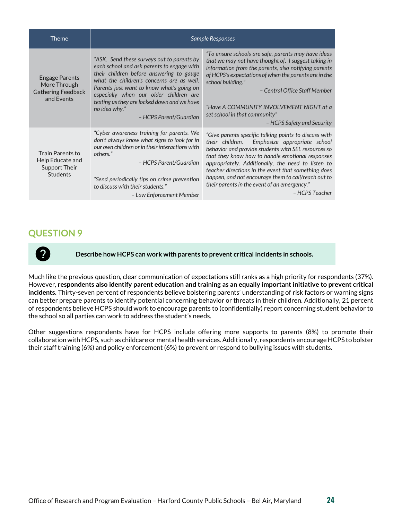| Theme                                                                            | Sample Responses                                                                                                                                                                                                                                                                                                                                                   |                                                                                                                                                                                                                                                                                                                                                                                                                                                           |
|----------------------------------------------------------------------------------|--------------------------------------------------------------------------------------------------------------------------------------------------------------------------------------------------------------------------------------------------------------------------------------------------------------------------------------------------------------------|-----------------------------------------------------------------------------------------------------------------------------------------------------------------------------------------------------------------------------------------------------------------------------------------------------------------------------------------------------------------------------------------------------------------------------------------------------------|
| <b>Engage Parents</b><br>More Through<br><b>Gathering Feedback</b><br>and Events | "ASK. Send these surveys out to parents by<br>each school and ask parents to engage with<br>their children before answering to gauge<br>what the children's concerns are as well.<br>Parents just want to know what's going on<br>especially when our older children are<br>texting us they are locked down and we have<br>no idea why."<br>- HCPS Parent/Guardian | "To ensure schools are safe, parents may have ideas<br>that we may not have thought of. I suggest taking in<br>information from the parents, also notifying parents<br>of HCPS's expectations of when the parents are in the<br>school building."<br>- Central Office Staff Member<br>"Have A COMMUNITY INVOLVEMENT NIGHT at a<br>set school in that community"<br>– HCPS Safety and Security                                                             |
| Train Parents to<br>Help Educate and<br>Support Their<br><b>Students</b>         | "Cyber awareness training for parents. We<br>don't always know what signs to look for in<br>our own children or in their interactions with<br>others."<br>- HCPS Parent/Guardian<br>"Send periodically tips on crime prevention<br>to discuss with their students."<br>- Law Enforcement Member                                                                    | "Give parents specific talking points to discuss with<br>their children.<br>Emphasize appropriate school<br>behavior and provide students with SEL resources so<br>that they know how to handle emotional responses<br>appropriately. Additionally, the need to listen to<br>teacher directions in the event that something does<br>happen, and not encourage them to call/reach out to<br>their parents in the event of an emergency."<br>– HCPS Teacher |

<span id="page-23-0"></span>

**Describe how HCPS can work with parents to prevent critical incidents in schools.**

Much like the previous question, clear communication of expectations still ranks as a high priority for respondents (37%). However, **respondents also identify parent education and training as an equally important initiative to prevent critical incidents.** Thirty-seven percent of respondents believe bolstering parents' understanding of risk factors or warning signs can better prepare parents to identify potential concerning behavior or threats in their children. Additionally, 21 percent of respondents believe HCPS should work to encourage parents to (confidentially) report concerning student behavior to the school so all parties can work to address the student's needs.

Other suggestions respondents have for HCPS include offering more supports to parents (8%) to promote their collaboration with HCPS, such as childcare or mental health services. Additionally, respondents encourage HCPS to bolster their staff training (6%) and policy enforcement (6%) to prevent or respond to bullying issues with students.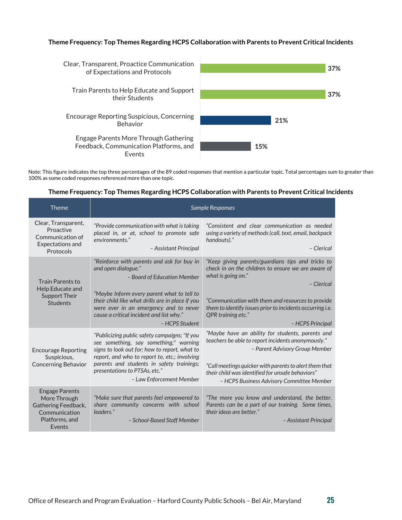#### **Theme Frequency: Top Themes Regarding HCPS Collaboration with Parents to Prevent Critical Incidents**



Note: This figure indicates the top three percentages of the 89 coded responses that mention a particular topic. Total percentages sum to greater than 100% as some coded responses referenced more than one topic.

#### **Theme Frequency: Top Themes Regarding HCPS Collaboration with Parents to Prevent Critical Incidents**

| Theme                                                                                                     | <b>Sample Responses</b>                                                                                                                                                                                                                                                                             |                                                                                                                                                                                                                                                                                                     |
|-----------------------------------------------------------------------------------------------------------|-----------------------------------------------------------------------------------------------------------------------------------------------------------------------------------------------------------------------------------------------------------------------------------------------------|-----------------------------------------------------------------------------------------------------------------------------------------------------------------------------------------------------------------------------------------------------------------------------------------------------|
| Clear, Transparent,<br>Proactive<br>Communication of<br><b>Expectations and</b>                           | "Provide communication with what is taking<br>placed in, or at, school to promote safe<br>environments."                                                                                                                                                                                            | "Consistent and clear communication as needed<br>using a variety of methods (call, text, email, backpack<br>handouts)."                                                                                                                                                                             |
| Protocols                                                                                                 | - Assistant Principal                                                                                                                                                                                                                                                                               | - Clerical                                                                                                                                                                                                                                                                                          |
| <b>Train Parents to</b><br>Help Educate and                                                               | "Reinforce with parents and ask for buy in<br>and open dialogue."<br>- Board of Education Member                                                                                                                                                                                                    | "Keep giving parents/guardians tips and tricks to<br>check in on the children to ensure we are aware of<br>what is going on."<br>- Clerical                                                                                                                                                         |
| Support Their<br><b>Students</b>                                                                          | "Maybe Inform every parent what to tell to<br>their child like what drills are in place if you<br>were ever in an emergency and to never<br>cause a critical incident and list why."<br>- HCPS Student                                                                                              | "Communication with them and resources to provide<br>them to identify issues prior to incidents occurring i.e.<br>QPR training etc."<br>- HCPS Principal                                                                                                                                            |
| <b>Encourage Reporting</b><br>Suspicious,<br><b>Concerning Behavior</b>                                   | "Publicizing public safety campaigns; "If you<br>see something, say something;" warning<br>signs to look out for; how to report, what to<br>report, and who to report to, etc.; involving<br>parents and students in safety trainings;<br>presentations to PTSAs, etc."<br>- Law Enforcement Member | "Maybe have an ability for students, parents and<br>teachers be able to report incidents anonymously."<br>- Parent Advisory Group Member<br>"Call meetings quicker with parents to alert them that<br>their child was identified for unsafe behaviors"<br>- HCPS Business Advisory Committee Member |
| <b>Engage Parents</b><br>More Through<br>Gathering Feedback,<br>Communication<br>Platforms, and<br>Events | "Make sure that parents feel empowered to<br>share community concerns with school<br>leaders."<br>- School-Based Staff Member                                                                                                                                                                       | "The more you know and understand, the better.<br>Parents can be a part of our training. Some times,<br>their ideas are better."<br>- Assistant Principal                                                                                                                                           |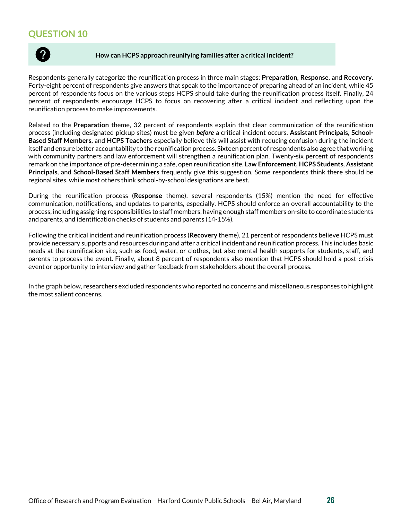<span id="page-25-0"></span>

#### **How can HCPS approach reunifying families after a critical incident?**

Respondents generally categorize the reunification process in three main stages: **Preparation, Response,** and **Recovery.** Forty-eight percent of respondents give answers that speak to the importance of preparing ahead of an incident, while 45 percent of respondents focus on the various steps HCPS should take during the reunification process itself. Finally, 24 percent of respondents encourage HCPS to focus on recovering after a critical incident and reflecting upon the reunification process to make improvements.

Related to the **Preparation** theme, 32 percent of respondents explain that clear communication of the reunification process (including designated pickup sites) must be given *before* a critical incident occurs. **Assistant Principals, School-Based Staff Members,** and **HCPS Teachers** especially believe this will assist with reducing confusion during the incident itself and ensure better accountability to the reunification process. Sixteen percent of respondents also agree that working with community partners and law enforcement will strengthen a reunification plan. Twenty-six percent of respondents remark on the importance of pre-determining a safe, open reunification site. **Law Enforcement, HCPS Students, Assistant Principals,** and **School-Based Staff Members** frequently give this suggestion. Some respondents think there should be regional sites, while most others think school-by-school designations are best.

During the reunification process (**Response** theme), several respondents (15%) mention the need for effective communication, notifications, and updates to parents, especially. HCPS should enforce an overall accountability to the process, including assigning responsibilities to staff members, having enough staff members on-site to coordinate students and parents, and identification checks of students and parents (14-15%).

Following the critical incident and reunification process (**Recovery** theme), 21 percent of respondents believe HCPS must provide necessary supports and resources during and after a critical incident and reunification process. This includes basic needs at the reunification site, such as food, water, or clothes, but also mental health supports for students, staff, and parents to process the event. Finally, about 8 percent of respondents also mention that HCPS should hold a post-crisis event or opportunity to interview and gather feedback from stakeholders about the overall process.

In the graph below, researchers excluded respondents who reported no concerns and miscellaneous responses to highlight the most salient concerns.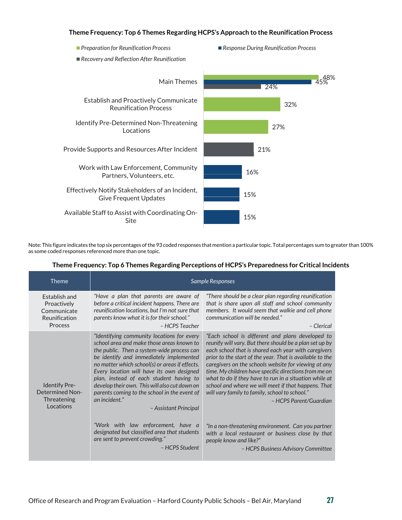#### **Theme Frequency: Top 6 Themes Regarding HCPS's Approach to the Reunification Process**



Note: This figure indicates the top six percentages of the 93 coded responses that mention a particular topic. Total percentages sum to greater than 100% as some coded responses referenced more than one topic.

| <b>Theme</b>                                                                   | Sample Responses                                                                                                                                                                                                                                                                                                                                                                                                                                                      |                                                                                                                                                                                                                                                                                                                                                                                                                                                                                                                                               |
|--------------------------------------------------------------------------------|-----------------------------------------------------------------------------------------------------------------------------------------------------------------------------------------------------------------------------------------------------------------------------------------------------------------------------------------------------------------------------------------------------------------------------------------------------------------------|-----------------------------------------------------------------------------------------------------------------------------------------------------------------------------------------------------------------------------------------------------------------------------------------------------------------------------------------------------------------------------------------------------------------------------------------------------------------------------------------------------------------------------------------------|
| Establish and<br>Proactively<br>Communicate<br>Reunification<br><b>Process</b> | "Have a plan that parents are aware of<br>before a critical incident happens. There are<br>reunification locations, but I'm not sure that<br>parents know what it is for their school."<br>– HCPS Teacher                                                                                                                                                                                                                                                             | "There should be a clear plan regarding reunification<br>that is share upon all staff and school community<br>members. It would seem that walkie and cell phone<br>communication will be needed."<br>- Clerical                                                                                                                                                                                                                                                                                                                               |
| <b>Identify Pre-</b><br><b>Determined Non-</b><br>Threatening<br>Locations     | "Identifying community locations for every<br>school area and make those areas known to<br>the public. Then a system-wide process can<br>be identify and immediately implemented<br>no matter which school(s) or areas if effects.<br>Every location will have its own designed<br>plan, instead of each student having to<br>develop their own. This will also cut down on<br>parents coming to the school in the event of<br>an incident."<br>- Assistant Principal | "Each school is different and plans developed to<br>reunify will vary. But there should be a plan set up by<br>each school that is shared each year with caregivers<br>prior to the start of the year. That is available to the<br>caregivers on the schools website for viewing at any<br>time. My children have specific directions from me on<br>what to do if they have to run in a situation while at<br>school and where we will meet if that happens. That<br>will vary family to family, school to school."<br>- HCPS Parent/Guardian |
|                                                                                | "Work with law enforcement, have a<br>designated but classified area that students<br>are sent to prevent crowding."<br>- HCPS Student                                                                                                                                                                                                                                                                                                                                | "In a non-threatening environment. Can you partner<br>with a local restaurant or business close by that<br>people know and like?"<br>- HCPS Business Advisory Committee                                                                                                                                                                                                                                                                                                                                                                       |

## **Theme Frequency: Top 6 Themes Regarding Perceptions of HCPS's Preparedness for Critical Incidents**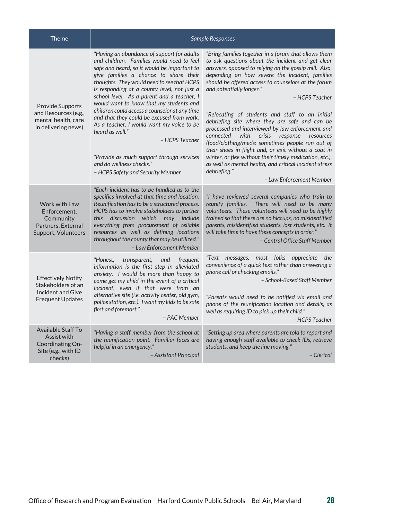| <b>Theme</b>                                                                                    | <b>Sample Responses</b>                                                                                                                                                                                                                                                                                                                                                                                                                                                                                                                                                                                                                                             |                                                                                                                                                                                                                                                                                                                                                                                                                                                                                                                                                                                                                                                                                                                                                                                                                         |
|-------------------------------------------------------------------------------------------------|---------------------------------------------------------------------------------------------------------------------------------------------------------------------------------------------------------------------------------------------------------------------------------------------------------------------------------------------------------------------------------------------------------------------------------------------------------------------------------------------------------------------------------------------------------------------------------------------------------------------------------------------------------------------|-------------------------------------------------------------------------------------------------------------------------------------------------------------------------------------------------------------------------------------------------------------------------------------------------------------------------------------------------------------------------------------------------------------------------------------------------------------------------------------------------------------------------------------------------------------------------------------------------------------------------------------------------------------------------------------------------------------------------------------------------------------------------------------------------------------------------|
| <b>Provide Supports</b><br>and Resources (e.g.,<br>mental health, care<br>in delivering news)   | "Having an abundance of support for adults<br>and children. Families would need to feel<br>safe and heard, so it would be important to<br>give families a chance to share their<br>thoughts. They would need to see that HCPS<br>is responding at a county level, not just a<br>school level. As a parent and a teacher, I<br>would want to know that my students and<br>children could access a counselor at any time<br>and that they could be excused from work.<br>As a teacher, I would want my voice to be<br>heard as well."<br>- HCPS Teacher<br>"Provide as much support through services<br>and do wellness checks."<br>- HCPS Safety and Security Member | "Bring families together in a forum that allows them<br>to ask questions about the incident and get clear<br>answers, opposed to relying on the gossip mill. Also,<br>depending on how severe the incident, families<br>should be offered access to counselors at the forum<br>and potentially longer."<br>- HCPS Teacher<br>"Relocating of students and staff to an initial<br>debriefing site where they are safe and can be<br>processed and interviewed by law enforcement and<br>with<br>crisis<br>response<br>connected<br>resources<br>(food/clothing/meds: sometimes people run out of<br>their shoes in flight and, or exit without a coat in<br>winter, or flee without their timely medication, etc.),<br>as well as mental health, and critical incident stress<br>debriefing."<br>- Law Enforcement Member |
| Work with Law<br>Enforcement.<br>Community<br>Partners, External<br>Support, Volunteers         | "Each incident has to be handled as to the<br>specifics involved at that time and location.<br>Reunification has to be a structured process.<br>HCPS has to involve stakeholders to further<br>this<br>discussion<br>which<br>may include<br>everything from procurement of reliable<br>resources as well as defining locations<br>throughout the county that may be utilized."<br>- Law Enforcement Member                                                                                                                                                                                                                                                         | "I have reviewed several companies who train to<br>reunify families. There will need to be many<br>volunteers. These volunteers will need to be highly<br>trained so that there are no hiccups, no misidentified<br>parents, misidentified students, lost students, etc. It<br>will take time to have these concepts in order."<br>- Central Office Staff Member                                                                                                                                                                                                                                                                                                                                                                                                                                                        |
| <b>Effectively Notify</b><br>Stakeholders of an<br>Incident and Give<br><b>Frequent Updates</b> | frequent<br>"Honest,<br>transparent,<br>and<br>information is the first step in alleviated<br>anxiety. I would be more than happy to<br>come get my child in the event of a critical<br>incident, even if that were from an<br>alternative site (i.e. activity center, old gym,<br>police station, etc.). I want my kids to be safe<br>first and foremost."<br>- PAC Member                                                                                                                                                                                                                                                                                         | "Text messages. most folks appreciate the<br>convenience of a quick text rather than answering a<br>phone call or checking emails."<br>- School-Based Staff Member<br>"Parents would need to be notified via email and<br>phone of the reunification location and details, as<br>well as requiring ID to pick up their child."<br>- HCPS Teacher                                                                                                                                                                                                                                                                                                                                                                                                                                                                        |
| Available Staff To<br>Assist with<br>Coordinating On-<br>Site (e.g., with ID<br>checks)         | "Having a staff member from the school at<br>the reunification point. Familiar faces are<br>helpful in an emergency."<br>– Assistant Principal                                                                                                                                                                                                                                                                                                                                                                                                                                                                                                                      | "Setting up area where parents are told to report and<br>having enough staff available to check IDs, retrieve<br>students, and keep the line moving."<br>- Clerical                                                                                                                                                                                                                                                                                                                                                                                                                                                                                                                                                                                                                                                     |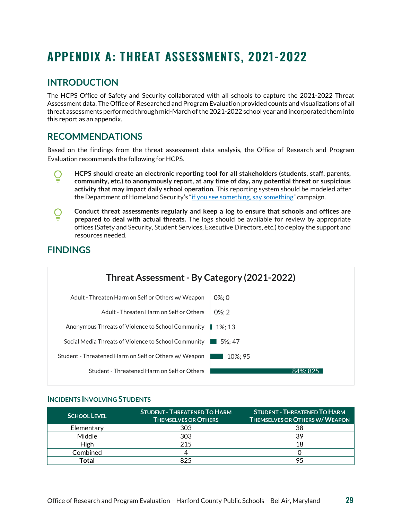## <span id="page-28-0"></span>**APPENDIX A: THREAT ASSESSMENTS, 2021-2022**

## <span id="page-28-1"></span>**INTRODUCTION**

<span id="page-28-3"></span>**FINDINGS**

The HCPS Office of Safety and Security collaborated with all schools to capture the 2021-2022 Threat Assessment data. The Office of Researched and Program Evaluation provided counts and visualizations of all threat assessments performed through mid-March of the 2021-2022 school year and incorporated them into this report as an appendix.

## <span id="page-28-2"></span>**RECOMMENDATIONS**

Based on the findings from the threat assessment data analysis, the Office of Research and Program Evaluation recommends the following for HCPS.

- **HCPS should create an electronic reporting tool for all stakeholders (students, staff, parents,**  Ő **community, etc.) to anonymously report, at any time of day, any potential threat or suspicious activity that may impact daily school operation.** This reporting system should be modeled after the Department of Homeland Security's ["if you see something, say something"](https://nam11.safelinks.protection.outlook.com/?url=https%3A%2F%2Fwww.dhs.gov%2Fsee-something-say-something%2Fhow-to-report-suspicious-activity&data=05%7C01%7CYakoubou.Ousmanou%40hcps.org%7C4ddead24cd114fc9926b08da44cc0993%7Cc1f6ac536b774db594724f104eeac96a%7C0%7C0%7C637897940393655662%7CUnknown%7CTWFpbGZsb3d8eyJWIjoiMC4wLjAwMDAiLCJQIjoiV2luMzIiLCJBTiI6Ik1haWwiLCJXVCI6Mn0%3D%7C3000%7C%7C%7C&sdata=RnyPWqEX7MX5wM1UBVmNkm%2BSM%2FTpr03wtmEQcBfFFAk%3D&reserved=0) campaign.
- **Conduct threat assessments regularly and keep a log to ensure that schools and offices are**  Q **prepared to deal with actual threats.** The logs should be available for review by appropriate offices (Safety and Security, Student Services, Executive Directors, etc.) to deploy the support and resources needed.



### **INCIDENTS INVOLVING STUDENTS**

| <b>SCHOOL LEVEL</b> | <b>STUDENT - THREATENED TO HARM.</b><br><b>THEMSELVES OR OTHERS</b> | <b>STUDENT - THREATENED TO HARM</b><br><b>THEMSELVES OR OTHERS W/ WEAPON</b> |
|---------------------|---------------------------------------------------------------------|------------------------------------------------------------------------------|
| Elementary          | 303                                                                 | 38                                                                           |
| Middle              | 303                                                                 | 39                                                                           |
| High                | 215                                                                 | 18                                                                           |
| Combined            |                                                                     |                                                                              |
| Total               | 825                                                                 |                                                                              |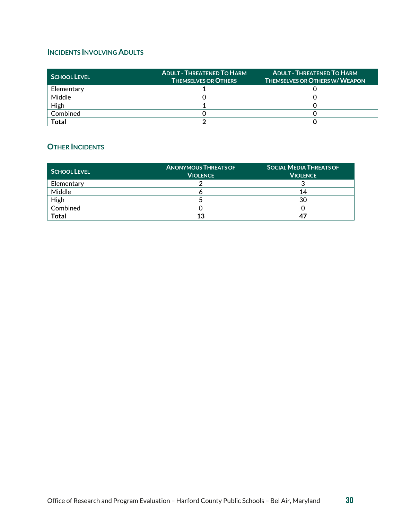## **INCIDENTS INVOLVING ADULTS**

| <b>SCHOOL LEVEL</b> | <b>ADULT - THREATENED TO HARM</b><br><b>THEMSELVES OR OTHERS</b> | <b>ADULT - THREATENED TO HARM</b><br><b>THEMSELVES OR OTHERS W/ WEAPON</b> |
|---------------------|------------------------------------------------------------------|----------------------------------------------------------------------------|
| Elementary          |                                                                  |                                                                            |
| Middle              |                                                                  |                                                                            |
| High                |                                                                  |                                                                            |
| Combined            |                                                                  |                                                                            |
| Total               |                                                                  |                                                                            |

## **OTHER INCIDENTS**

| SCHOOL LEVEL | <b>ANONYMOUS THREATS OF</b><br><b>VIOLENCE</b> | <b>SOCIAL MEDIA THREATS OF</b><br><b>VIOLENCE</b> |
|--------------|------------------------------------------------|---------------------------------------------------|
| Elementary   |                                                |                                                   |
| Middle       |                                                | 14                                                |
| High         |                                                | 30                                                |
| Combined     |                                                |                                                   |
| <b>Total</b> | 13                                             | -47                                               |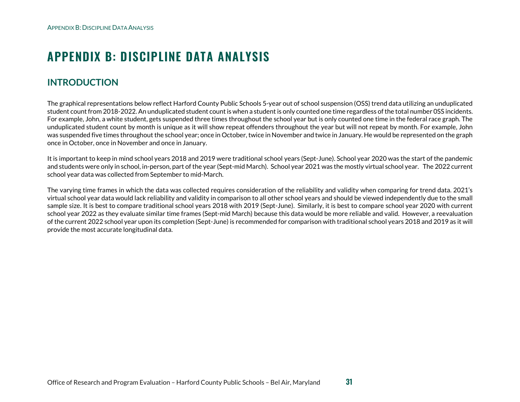## **APPENDIX B: DISCIPLINE DATA ANALYSIS**

## **INTRODUCTION**

The graphical representations below reflect Harford County Public Schools 5-year out of school suspension (OSS) trend data utilizing an unduplicated student count from 2018-2022. An unduplicated student count is when a student is only counted one time regardless of the total number 0SS incidents. For example, John, a white student, gets suspended three times throughout the school year but is only counted one time in the federal race graph. The unduplicated student count by month is unique as it will show repeat offenders throughout the year but will not repeat by month. For example, John was suspended five times throughout the school year; once in October, twice in November and twice in January. He would be represented on the graph once in October, once in November and once in January.

<span id="page-30-0"></span>It is important to keep in mind school years 2018 and 2019 were traditional school years (Sept-June). School year 2020 was the start of the pandemic and students were only in school, in-person, part of the year (Sept-mid March). School year 2021 was the mostly virtual school year. The 2022 current school year data was collected from September to mid-March.

<span id="page-30-1"></span>The varying time frames in which the data was collected requires consideration of the reliability and validity when comparing for trend data. 2021's virtual school year data would lack reliability and validity in comparison to all other school years and should be viewed independently due to the small sample size. It is best to compare traditional school years 2018 with 2019 (Sept-June). Similarly, it is best to compare school year 2020 with current school year 2022 as they evaluate similar time frames (Sept-mid March) because this data would be more reliable and valid. However, a reevaluation of the current 2022 school year upon its completion (Sept-June) is recommended for comparison with traditional school years 2018 and 2019 as it will provide the most accurate longitudinal data.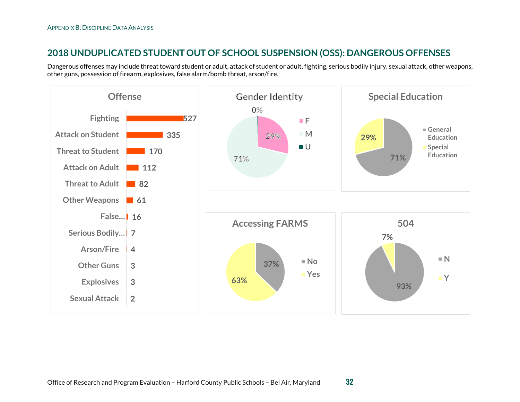## **2018 UNDUPLICATED STUDENT OUT OF SCHOOL SUSPENSION (OSS): DANGEROUS OFFENSES**

Dangerous offenses may include threat toward student or adult, attack of student or adult, fighting, serious bodily injury, sexual attack, other weapons, other guns, possession of firearm, explosives, false alarm/bomb threat, arson/fire.

<span id="page-31-0"></span>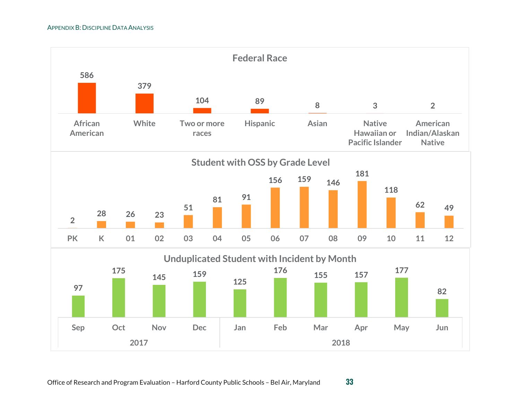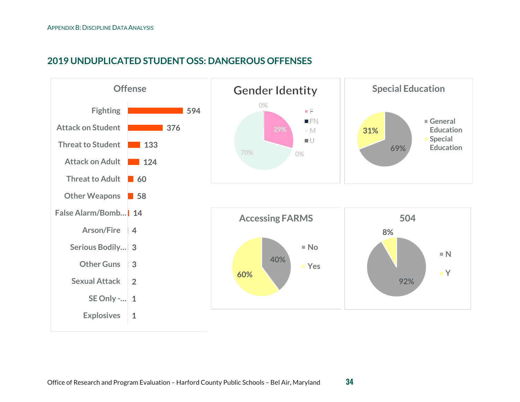## **2019 UNDUPLICATED STUDENT OSS: DANGEROUS OFFENSES**

<span id="page-33-0"></span>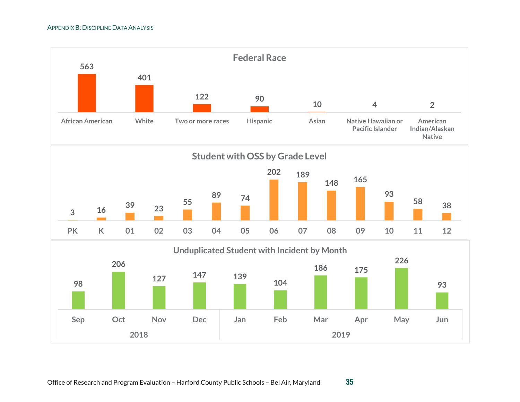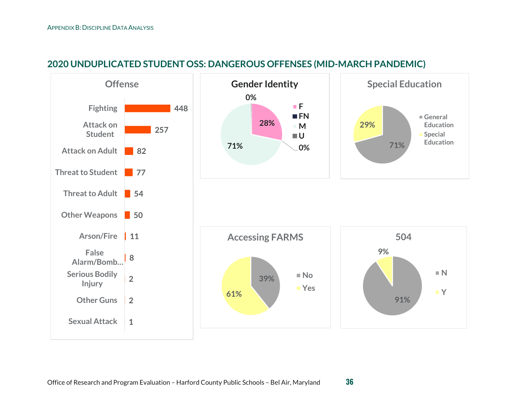<span id="page-35-0"></span>

## **2020 UNDUPLICATED STUDENT OSS: DANGEROUS OFFENSES (MID-MARCH PANDEMIC)**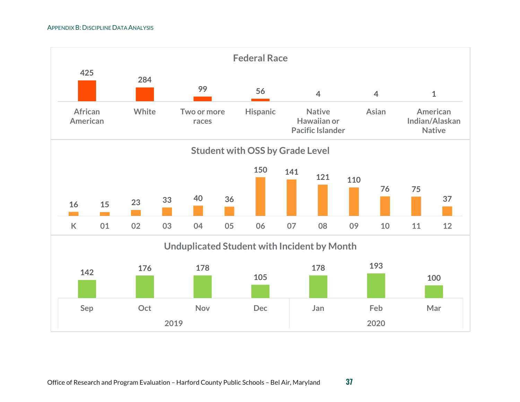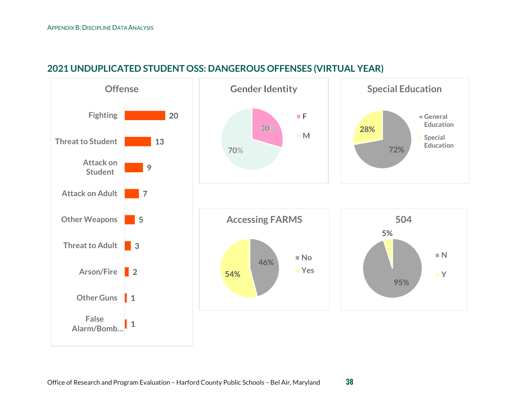<span id="page-37-0"></span>

## **2021 UNDUPLICATED STUDENT OSS: DANGEROUS OFFENSES (VIRTUAL YEAR)**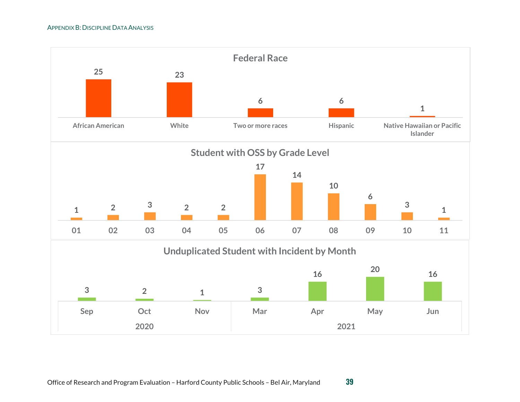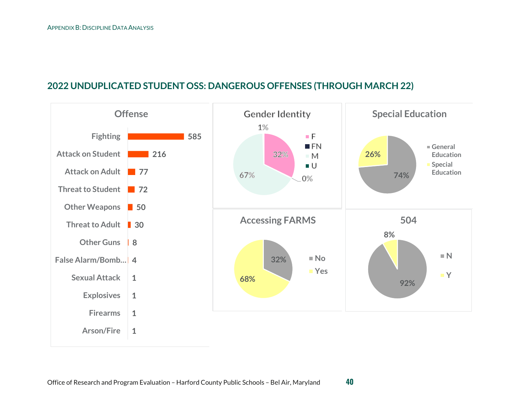## **2022 UNDUPLICATED STUDENT OSS: DANGEROUS OFFENSES (THROUGH MARCH 22)**

<span id="page-39-0"></span>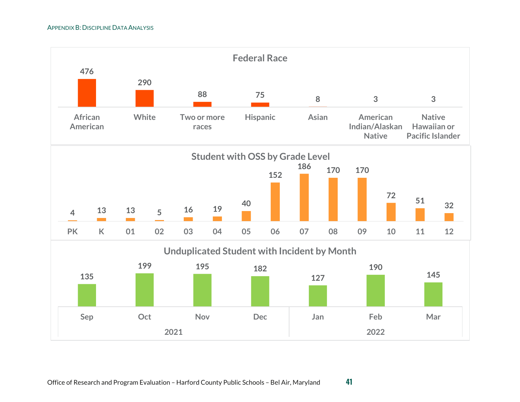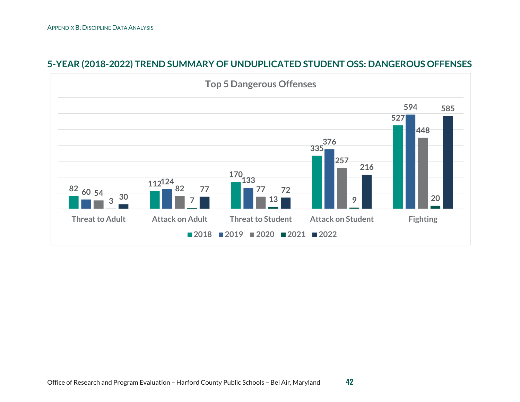<span id="page-41-0"></span>

## **5-YEAR (2018-2022) TREND SUMMARY OF UNDUPLICATED STUDENT OSS: DANGEROUS OFFENSES**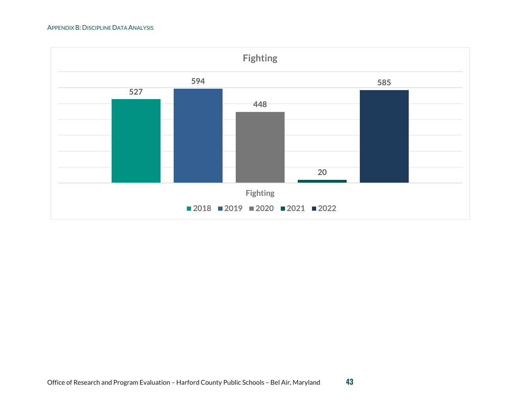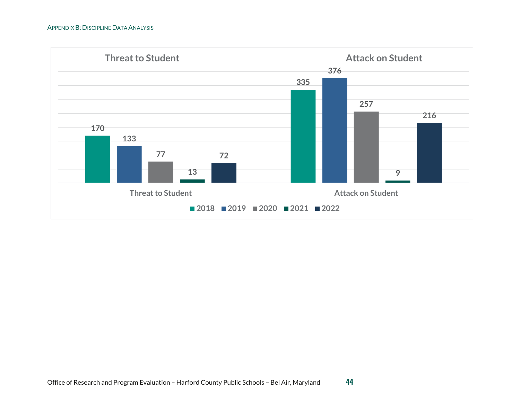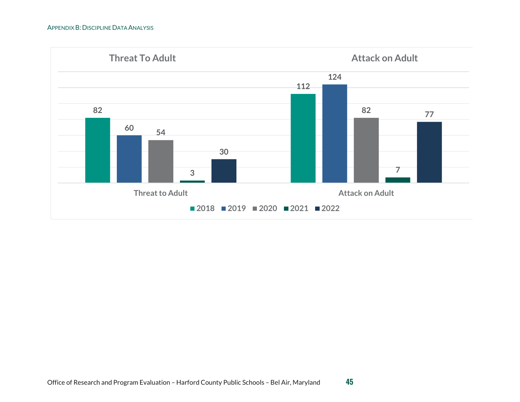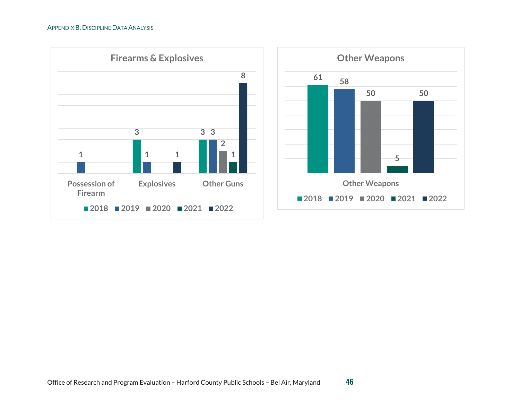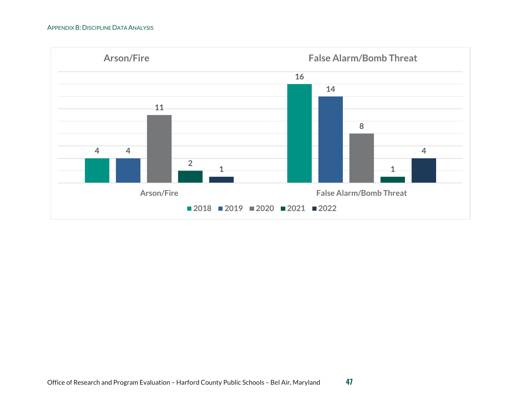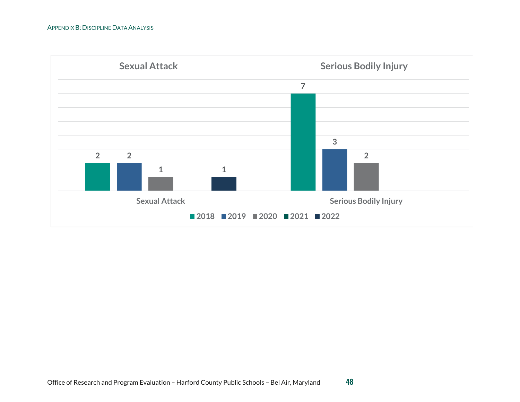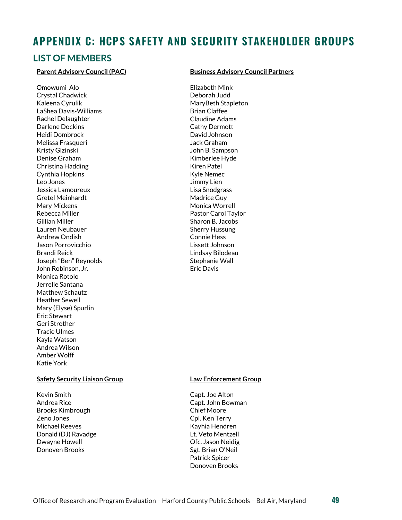## <span id="page-48-0"></span>**APPENDIX C: HCPS SAFETY AND SECURITY STAKEHOLDER GROUPS**

## <span id="page-48-1"></span>**LIST OF MEMBERS**

#### **Parent Advisory Council (PAC)**

Omowumi Alo Crystal Chadwick Kaleena Cyrulik LaShea Davis-Williams Rachel Delaughter Darlene Dockins Heidi Dombrock Melissa Frasqueri Kristy Gizinski Denise Graham Christina Hadding Cynthia Hopkins Leo Jones Jessica Lamoureux Gretel Meinhardt Mary Mickens Rebecca Miller Gillian Miller Lauren Neubauer Andrew Ondish Jason Porrovicchio Brandi Reick Joseph "Ben" Reynolds John Robinson, Jr. Monica Rotolo Jerrelle Santana Matthew Schautz Heather Sewell Mary (Elyse) Spurlin Eric Stewart Geri Strother Tracie Ulmes Kayla Watson Andrea Wilson Amber Wolff Katie York

#### **Safety Security Liaison Group**

Kevin Smith Andrea Rice Brooks Kimbrough Zeno Jones Michael Reeves Donald (DJ) Ravadge Dwayne Howell Donoven Brooks

#### **Business Advisory Council Partners**

Elizabeth Mink Deborah Judd MaryBeth Stapleton Brian Claffee Claudine Adams Cathy Dermott David Johnson Jack Graham John B. Sampson Kimberlee Hyde Kiren Patel Kyle Nemec Jimmy Lien Lisa Snodgrass Madrice Guy Monica Worrell Pastor Carol Taylor Sharon B. Jacobs Sherry Hussung Connie Hess Lissett Johnson Lindsay Bilodeau Stephanie Wall Eric Davis

#### **Law Enforcement Group**

Capt. Joe Alton Capt. John Bowman Chief Moore Cpl. Ken Terry Kayhia Hendren Lt. Veto Mentzell Ofc. Jason Neidig Sgt. Brian O'Neil Patrick Spicer Donoven Brooks